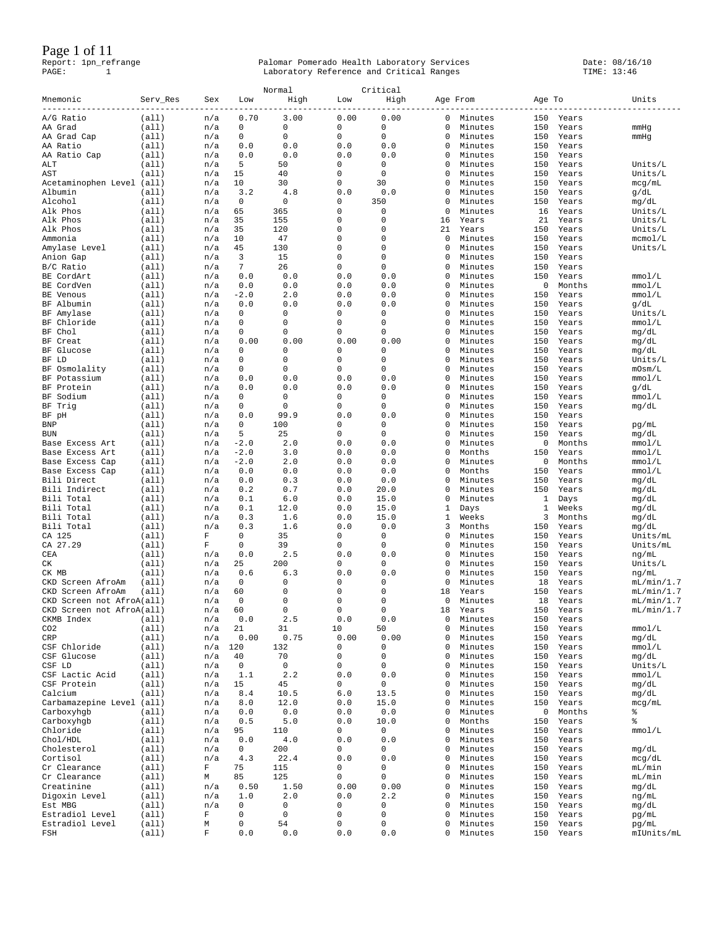### Page 1 of 11

|                                                |                |                  |              | Normal        |                    | Critical      |          |                    |            |                 |                          |
|------------------------------------------------|----------------|------------------|--------------|---------------|--------------------|---------------|----------|--------------------|------------|-----------------|--------------------------|
| Mnemonic                                       | Serv_Res       | Sex              | Low          | High          | Low                | High          | Age From |                    | Age To     |                 | Units                    |
| A/G Ratio                                      | (a11)          | n/a              | 0.70         | 3.00          | 0.00               | 0.00          | 0        | Minutes            | 150        | Years           |                          |
| AA Grad                                        | (a11)          | n/a              | $\mathbf{0}$ | 0             | 0                  | 0             | 0        | Minutes            | 150        | Years           | mmHg                     |
| AA Grad Cap                                    | (a11)          | n/a              | 0            | 0             | 0                  | 0             | 0        | Minutes            | 150        | Years           | mmHg                     |
| AA Ratio                                       | (a11)          | n/a              | 0.0          | 0.0           | 0.0                | 0.0           | 0        | Minutes            | 150        | Years           |                          |
| AA Ratio Cap                                   | (a11)          | n/a              | 0.0          | 0.0           | 0.0                | 0.0           | 0        | Minutes            | 150        | Years           |                          |
| ALT                                            | (a11)          | n/a              | 5            | 50            | 0                  | 0             | 0        | Minutes            | 150        | Years           | Units/L                  |
| AST                                            | (a11)          | n/a              | 15           | 40            | 0                  | 0             | 0        | Minutes            | 150        | Years           | Units/L                  |
| Acetaminophen Level (all)                      |                | n/a              | 10           | 30            | 0                  | 30            | 0        | Minutes            | 150        | Years           | mcg/mL                   |
| Albumin                                        | (all)          | n/a              | 3.2          | 4.8           | 0.0                | 0.0           | 0        | Minutes            | 150        | Years           | g/dL                     |
| Alcohol                                        | (all)          | n/a              | 0            | 0             | 0<br>0             | 350           | 0        | Minutes            | 150        | Years           | mg/dL                    |
| Alk Phos<br>Alk Phos                           | (a11)<br>(a11) | n/a<br>n/a       | 65<br>35     | 365<br>155    | 0                  | 0<br>0        | 0<br>16  | Minutes<br>Years   | 16<br>21   | Years<br>Years  | Units/L<br>Units/L       |
| Alk Phos                                       | (a11)          | n/a              | 35           | 120           | 0                  | $\mathbf 0$   | 21       | Years              | 150        | Years           | Units/ $L$               |
| Ammonia                                        | (a11)          | n/a              | 10           | 47            | 0                  | 0             | 0        | Minutes            | 150        | Years           | mcmol/L                  |
| Amylase Level                                  | (a11)          | n/a              | 45           | 130           | 0                  | 0             | 0        | Minutes            | 150        | Years           | Units/ $L$               |
| Anion Gap                                      | (a11)          | n/a              | 3            | 15            | $\mathbf 0$        | $\mathbf 0$   | 0        | Minutes            | 150        | Years           |                          |
| B/C Ratio                                      | (all)          | n/a              | 7            | 26            | 0                  | $\mathbf 0$   | 0        | Minutes            | 150        | Years           |                          |
| BE CordArt                                     | (a11)          | n/a              | 0.0          | 0.0           | 0.0                | 0.0           | 0        | Minutes            | 150        | Years           | mmol/L                   |
| BE CordVen                                     | (a11)          | n/a              | 0.0          | 0.0           | 0.0                | 0.0           | 0        | Minutes            | 0          | Months          | mmol/L                   |
| BE Venous                                      | (a11)          | n/a              | $-2.0$       | 2.0           | 0.0                | 0.0           | 0        | Minutes            | 150        | Years           | mmol/L                   |
| BF Albumin                                     | (a11)          | n/a              | 0.0          | 0.0           | 0.0                | 0.0           | 0        | Minutes            | 150        | Years           | g/dL                     |
| BF Amylase                                     | (a11)          | n/a              | $\mathbf{0}$ | 0             | 0                  | 0             | 0        | Minutes            | 150        | Years           | Units/L                  |
| BF Chloride                                    | (a11)          | n/a              | 0            | 0             | 0                  | 0             | 0        | Minutes            | 150        | Years           | mmol/L                   |
| BF Chol<br>BF Creat                            | (a11)<br>(a11) | n/a<br>n/a       | 0<br>0.00    | 0<br>0.00     | 0<br>0.00          | 0<br>0.00     | 0<br>0   | Minutes<br>Minutes | 150<br>150 | Years<br>Years  | mg/dL                    |
| BF Glucose                                     | (a11)          | n/a              | 0            | 0             | 0                  | 0             | 0        | Minutes            | 150        | Years           | mg/dL<br>mg/dL           |
| BF LD                                          | (a11)          | n/a              | 0            | 0             | 0                  | 0             | 0        | Minutes            | 150        | Years           | Units/L                  |
| BF Osmolality                                  | (all)          | n/a              | 0            | 0             | 0                  | 0             | 0        | Minutes            | 150        | Years           | mOsm/L                   |
| BF Potassium                                   | (a11)          | n/a              | 0.0          | 0.0           | 0.0                | 0.0           | 0        | Minutes            | 150        | Years           | mmol/L                   |
| BF Protein                                     | (a11)          | n/a              | 0.0          | 0.0           | 0.0                | 0.0           | 0        | Minutes            | 150        | Years           | g/dL                     |
| BF Sodium                                      | (all)          | n/a              | 0            | 0             | 0                  | 0             | 0        | Minutes            | 150        | Years           | mmol/L                   |
| BF Trig                                        | (a11)          | n/a              | 0            | 0             | 0                  | 0             | 0        | Minutes            | 150        | Years           | mg/dL                    |
| BF pH                                          | (a11)          | n/a              | 0.0          | 99.9          | 0.0                | 0.0           | 0        | Minutes            | 150        | Years           |                          |
| BNP                                            | (a11)          | n/a              | 0            | 100           | 0                  | 0             | 0        | Minutes            | 150        | Years           | pg/mL                    |
| <b>BUN</b>                                     | (a11)          | n/a              | 5            | 25            | 0                  | 0             | 0        | Minutes            | 150        | Years           | mg/dL                    |
| Base Excess Art                                | (a11)          | n/a              | $-2.0$       | 2.0           | 0.0                | 0.0           | 0        | Minutes            | 0          | Months          | mmol/L                   |
| Base Excess Art                                | (a11)          | n/a              | $-2.0$       | 3.0           | 0.0                | 0.0           | 0        | Months             | 150        | Years           | mmol/L                   |
| Base Excess Cap                                | (a11)          | n/a              | $-2.0$       | 2.0           | 0.0                | 0.0           | 0        | Minutes            | 0          | Months          | mmol/L                   |
| Base Excess Cap<br>Bili Direct                 | (a11)<br>(a11) | n/a              | 0.0<br>0.0   | 0.0<br>0.3    | 0.0<br>0.0         | 0.0<br>0.0    | 0<br>0   | Months<br>Minutes  | 150<br>150 | Years<br>Years  | mmol/L                   |
| Bili Indirect                                  | (a11)          | n/a<br>n/a       | 0.2          | 0.7           | 0.0                | 20.0          | 0        | Minutes            | 150        | Years           | mg/dL<br>mg/dL           |
| Bili Total                                     | (a11)          | n/a              | 0.1          | 6.0           | 0.0                | 15.0          | 0        | Minutes            | 1          | Days            | mg/dL                    |
| Bili Total                                     | (a11)          | n/a              | 0.1          | 12.0          | 0.0                | 15.0          | 1        | Days               | 1          | Weeks           | mg/dL                    |
| Bili Total                                     | (a11)          | n/a              | 0.3          | 1.6           | 0.0                | 15.0          | 1        | Weeks              | 3          | Months          | mg/dL                    |
| Bili Total                                     | (all)          | n/a              | 0.3          | 1.6           | 0.0                | 0.0           | 3        | Months             | 150        | Years           | mg/dL                    |
| CA 125                                         | (a11)          | F                | 0            | 35            | 0                  | 0             | 0        | Minutes            | 150        | Years           | Units/mL                 |
| CA 27.29                                       | (a11)          | F                | $\mathbf{0}$ | 39            | 0                  | $\mathbf 0$   | 0        | Minutes            | 150        | Years           | Units/mL                 |
| CEA                                            | (a11)          | n/a              | 0.0          | 2.5           | 0.0                | 0.0           | 0        | Minutes            | 150        | Years           | ng/mL                    |
| CК                                             | (a11)          | n/a              | 25           | 200           | 0                  | 0             | 0        | Minutes            | 150        | Years           | Units/L                  |
| CK MB                                          | (a11)          | n/a              | 0.6          | 6.3           | 0.0                | 0.0           | 0        | Minutes            | 150        | Years           | ng/mL                    |
| CKD Screen AfroAm                              | (all)          | n/a              | 0            | 0             | 0                  | 0             | 0        | Minutes            | 18         | Years           | mL/min/1.7               |
| CKD Screen AfroAm<br>CKD Screen not AfroA(all) | (a11)          | n/a<br>n/a       | 60<br>0      | 0<br>$\Omega$ | 0<br>$\mathbf 0$   | 0<br>$\Omega$ | 18<br>0  | Years<br>Minutes   | 150<br>18  | Years           | mL/min/1.7               |
| CKD Screen not AfroA(all)                      |                | n/a              | 60           | $\mathsf 0$   | 0                  | $\mathbb O$   | 18       | Years              | 150        | Years<br>Years  | mL/min/1.7<br>mL/min/1.7 |
| CKMB Index                                     | (all)          | n/a              | 0.0          | 2.5           | $0.0$              | 0.0           | 0        | Minutes            | 150        | Years           |                          |
| CO <sub>2</sub>                                | (a11)          | n/a              | 21           | 31            | 10                 | 50            | 0        | Minutes            | 150        | Years           | mmol/L                   |
| CRP                                            | (all)          | n/a              | 0.00         | 0.75          | 0.00               | 0.00          | 0        | Minutes            | 150        | Years           | mg/dL                    |
| CSF Chloride                                   | (a11)          | n/a              | 120          | 132           | 0                  | 0             | 0        | Minutes            | 150        | Years           | mmol/L                   |
| CSF Glucose                                    | (a11)          | n/a              | 40           | 70            | $\mathsf 0$        | 0             | 0        | Minutes            | 150        | Years           | mg/dL                    |
| CSF LD                                         | (a11)          | n/a              | 0            | 0             | $\mathsf 0$        | 0             | 0        | Minutes            | 150        | Years           | Units/L                  |
| CSF Lactic Acid                                | (all)          | n/a              | 1.1          | 2.2           | 0.0                | 0.0           | 0        | Minutes            | 150        | Years           | mmol/L                   |
| CSF Protein                                    | (a11)          | n/a              | 15           | 45            | 0                  | 0             | 0        | Minutes            | 150        | Years           | mg/dL                    |
| Calcium                                        | (a11)          | n/a              | 8.4          | 10.5          | 6.0                | 13.5          | 0        | Minutes            | 150        | Years           | mg/dL                    |
| Carbamazepine Level<br>Carboxyhgb              | (all)          | n/a              | 8.0          | 12.0          | 0.0<br>0.0         | 15.0<br>0.0   | 0<br>0   | Minutes            | 150        | Years           | mcg/mL                   |
| Carboxyhgb                                     | (all)<br>(all) | n/a<br>n/a       | 0.0<br>0.5   | 0.0<br>5.0    | 0.0                | 10.0          | 0        | Minutes<br>Months  | 0<br>150   | Months<br>Years | နွ<br>್ಠಿ                |
| Chloride                                       | (all)          | n/a              | 95           | 110           | 0                  | 0             | 0        | Minutes            | 150        | Years           | mmol/L                   |
| Chol/HDL                                       | (all)          | n/a              | 0.0          | $4\,.0$       | 0.0                | 0.0           | 0        | Minutes            | 150        | Years           |                          |
| Cholesterol                                    | (all)          | n/a              | 0            | 200           | 0                  | 0             | $\Omega$ | Minutes            | 150        | Years           | mg/dL                    |
| Cortisol                                       | (a11)          | n/a              | 4.3          | 22.4          | 0.0                | 0.0           | 0        | Minutes            | 150        | Years           | mcg/dL                   |
| Cr Clearance                                   | (all)          | F                | 75           | 115           | 0                  | 0             | 0        | Minutes            | 150        | Years           | mL/min                   |
| Cr Clearance                                   | (a11)          | М                | 85           | 125           | $\mathsf 0$        | 0             | $\Omega$ | Minutes            | 150        | Years           | mL/min                   |
| Creatinine                                     | (a11)          | n/a              | 0.50         | 1.50          | 0.00               | 0.00          | 0        | Minutes            | 150        | Years           | mg/dL                    |
| Digoxin Level                                  | (all)          | n/a              | 1.0          | 2.0           | 0.0                | 2.2           | 0        | Minutes            | 150        | Years           | ng/mL                    |
| Est MBG                                        | (all)          | n/a              | 0            | 0             | $\mathsf 0$        | 0             | 0        | Minutes            | 150        | Years           | mg/dL                    |
| Estradiol Level                                | (all)          | F                | 0            | 0             | $\mathsf 0$        | 0             | 0        | Minutes            | 150        | Years           | pg/mL                    |
| Estradiol Level                                | (all)          | М<br>$\mathbf F$ | 0            | 54<br>0.0     | $\mathsf 0$<br>0.0 | 0<br>0.0      | 0<br>0   | Minutes<br>Minutes | 150<br>150 | Years           | pg/mL                    |
| FSH                                            | (all)          |                  | 0.0          |               |                    |               |          |                    |            | Years           | mIUnits/mL               |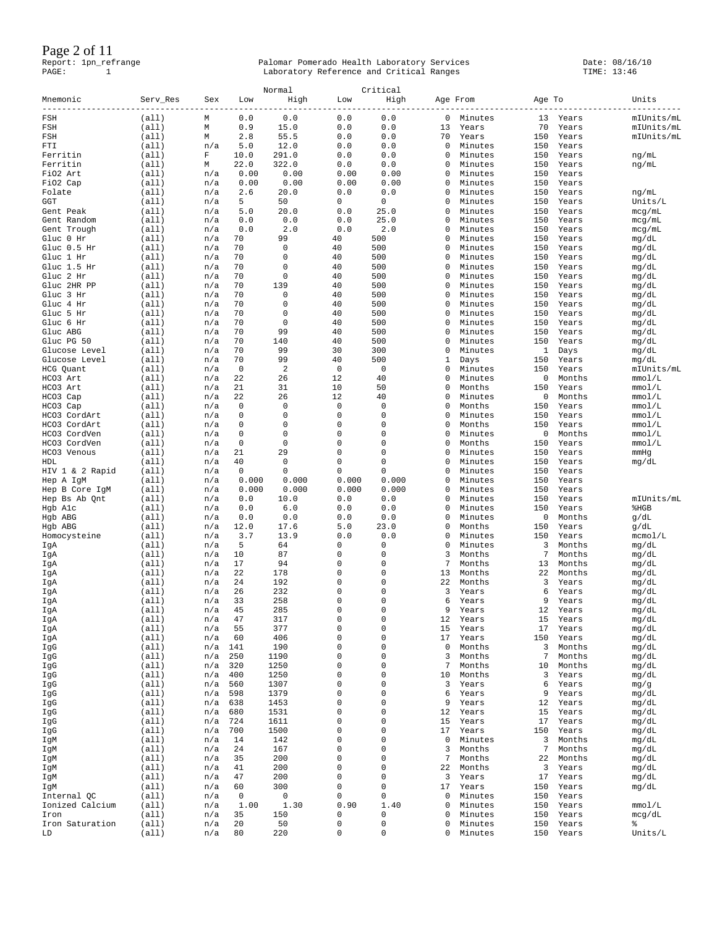Page 2 of 11

|                             |                |            |            | Normal       |                     | Critical         |         |                    |                 |                  |                |
|-----------------------------|----------------|------------|------------|--------------|---------------------|------------------|---------|--------------------|-----------------|------------------|----------------|
| Mnemonic                    | Serv Res       | Sex        | Low        | High         | Low                 | High             |         | Age From           | Age To          |                  | Units          |
| FSH                         | (all)          | М          | 0.0        | 0.0          | 0.0                 | 0.0              | 0       | Minutes            | 13              | Years            | mIUnits/mL     |
| FSH                         | (a11)          | М          | 0.9        | 15.0         | 0.0                 | 0.0              | 13      | Years              | 70              | Years            | mIUnits/mL     |
| FSH<br>FTI                  | (all)          | М          | 2.8<br>5.0 | 55.5<br>12.0 | 0.0<br>0.0          | 0.0<br>0.0       | 70<br>0 | Years              | 150             | Years            | mIUnits/mL     |
| Ferritin                    | (all)<br>(a11) | n/a<br>F   | 10.0       | 291.0        | 0.0                 | 0.0              | 0       | Minutes<br>Minutes | 150<br>150      | Years<br>Years   | ng/mL          |
| Ferritin                    | (all)          | М          | 22.0       | 322.0        | 0.0                 | 0.0              | 0       | Minutes            | 150             | Years            | ng/mL          |
| FiO2 Art                    | (a11)          | n/a        | 0.00       | 0.00         | 0.00                | 0.00             | 0       | Minutes            | 150             | Years            |                |
| FiO2 Cap                    | (a11)          | n/a        | 0.00       | 0.00         | 0.00                | 0.00             | 0       | Minutes            | 150             | Years            |                |
| Folate                      | (all)          | n/a        | 2.6        | 20.0         | 0.0                 | 0.0              | 0       | Minutes            | 150             | Years            | ng/mL          |
| GGT                         | (all)          | n/a        | 5          | 50           | $\mathbf{0}$        | $\mathbf 0$      | 0       | Minutes            | 150             | Years            | Units/L        |
| Gent Peak                   | (a11)          | n/a        | 5.0        | 20.0         | 0.0                 | 25.0             | 0       | Minutes            | 150             | Years            | mcq/mL         |
| Gent Random                 | (a11)          | n/a        | 0.0        | 0.0          | 0.0                 | 25.0             | 0       | Minutes            | 150             | Years            | mcg/mL         |
| Gent Trough                 | (all)          | n/a        | 0.0<br>70  | 2.0          | 0.0                 | 2.0              | 0<br>0  | Minutes            | 150             | Years            | mcg/mL         |
| Gluc 0 Hr<br>Gluc 0.5 Hr    | (a11)<br>(a11) | n/a<br>n/a | 70         | 99<br>0      | 40<br>40            | 500<br>500       | 0       | Minutes<br>Minutes | 150<br>150      | Years<br>Years   | mg/dL<br>mg/dL |
| Gluc 1 Hr                   | (all)          | n/a        | 70         | $\mathbf 0$  | 40                  | 500              | 0       | Minutes            | 150             | Years            | mg/dL          |
| Gluc 1.5 Hr                 | (all)          | n/a        | 70         | 0            | 40                  | 500              | 0       | Minutes            | 150             | Years            | mg/dL          |
| Gluc 2 Hr                   | (a11)          | n/a        | 70         | 0            | 40                  | 500              | 0       | Minutes            | 150             | Years            | mg/dL          |
| Gluc 2HR PP                 | (a11)          | n/a        | 70         | 139          | 40                  | 500              | 0       | Minutes            | 150             | Years            | mg/dL          |
| Gluc 3 Hr                   | (all)          | n/a        | 70         | 0            | 40                  | 500              | 0       | Minutes            | 150             | Years            | mg/dL          |
| Gluc 4 Hr                   | (all)          | n/a        | 70         | 0            | 40                  | 500              | 0       | Minutes            | 150             | Years            | mg/dL          |
| Gluc 5 Hr                   | (a11)          | n/a        | 70         | 0            | 40                  | 500              | 0       | Minutes            | 150             | Years            | mg/dL          |
| Gluc 6 Hr                   | (all)          | n/a        | 70         | 0            | 40                  | 500              | 0       | Minutes            | 150             | Years            | mg/dL          |
| Gluc ABG                    | (all)          | n/a        | 70         | 99           | 40                  | 500              | 0<br>0  | Minutes            | 150             | Years            | mg/dL          |
| Gluc PG 50<br>Glucose Level | (a11)<br>(all) | n/a<br>n/a | 70<br>70   | 140<br>99    | 40<br>30            | 500<br>300       | 0       | Minutes<br>Minutes | 150<br>1        | Years<br>Days    | mg/dL<br>mg/dL |
| Glucose Level               | (a11)          | n/a        | 70         | 99           | 40                  | 500              | 1       | Days               | 150             | Years            | mg/dL          |
| HCG Quant                   | (all)          | n/a        | 0          | 2            | $\mathbf 0$         | $\mathbf 0$      | 0       | Minutes            | 150             | Years            | mIUnits/mL     |
| HCO3 Art                    | (all)          | n/a        | 22         | 26           | 12                  | 40               | 0       | Minutes            | 0               | Months           | mmol/L         |
| HCO3 Art                    | (a11)          | n/a        | 21         | 31           | 10                  | 50               | 0       | Months             | 150             | Years            | mmol/L         |
| HCO3 Cap                    | (all)          | n/a        | 22         | 26           | 12                  | 40               | 0       | Minutes            | 0               | Months           | mmol/L         |
| HCO3 Cap                    | (a11)          | n/a        | 0          | $\mathbf 0$  | $\mathbf 0$         | $\mathbf 0$      | 0       | Months             | 150             | Years            | mmol/L         |
| HCO3 CordArt                | (a11)          | n/a        | 0          | $\mathbf{0}$ | 0                   | 0                | 0       | Minutes            | 150             | Years            | mmol/L         |
| HCO3 CordArt                | (all)          | n/a        | 0          | 0            | 0                   | 0                | 0       | Months             | 150             | Years            | mmol/L         |
| HCO3 CordVen                | (all)          | n/a        | 0          | 0            | 0                   | $\mathbf 0$      | 0       | Minutes            | 0               | Months           | mmol/L         |
| HCO3 CordVen                | (a11)          | n/a        | 0          | 0            | 0                   | 0                | 0       | Months             | 150             | Years            | mmol/L         |
| HCO3 Venous<br>HDL          | (all)<br>(all) | n/a<br>n/a | 21<br>40   | 29<br>0      | 0<br>$\mathbf 0$    | 0<br>$\mathbf 0$ | 0<br>0  | Minutes            | 150<br>150      | Years            | mmHg           |
| HIV 1 & 2 Rapid             | (all)          | n/a        | 0          | 0            | $\mathbf 0$         | 0                | 0       | Minutes<br>Minutes | 150             | Years<br>Years   | mg/dL          |
| Hep A IgM                   | (all)          | n/a        | 0.000      | 0.000        | 0.000               | 0.000            | 0       | Minutes            | 150             | Years            |                |
| Hep B Core IgM              | (all)          | n/a        | 0.000      | 0.000        | 0.000               | 0.000            | 0       | Minutes            | 150             | Years            |                |
| Hep Bs Ab Qnt               | (all)          | n/a        | 0.0        | 10.0         | 0.0                 | 0.0              | 0       | Minutes            | 150             | Years            | mIUnits/mL     |
| Hgb Alc                     | (a11)          | n/a        | 0.0        | 6.0          | 0.0                 | 0.0              | 0       | Minutes            | 150             | Years            | \$HGB          |
| Hgb ABG                     | (all)          | n/a        | 0.0        | 0.0          | 0.0                 | 0.0              | 0       | Minutes            | 0               | Months           | g/dL           |
| Hgb ABG                     | (all)          | n/a        | 12.0       | 17.6         | 5.0                 | 23.0             | 0       | Months             | 150             | Years            | g/dL           |
| Homocysteine                | (a11)          | n/a        | 3.7        | 13.9         | 0.0                 | 0.0              | 0       | Minutes            | 150             | Years            | mcmol/L        |
| IgA                         | (all)          | n/a        | 5          | 64           | 0                   | $\mathbf{0}$     | 0       | Minutes            | 3               | Months           | mg/dL          |
| IgA                         | (all)          | n/a<br>n/a | 10<br>17   | 87<br>94     | 0<br>0              | 0<br>$\mathbf 0$ | 3<br>7  | Months<br>Months   | 7<br>13         | Months<br>Months | mg/dL          |
| IgA<br>IgA                  | (a11)<br>(a11) | n/a        | 22         | 178          | 0                   | 0                | 13      | Months             | 22              | Months           | mg/dL<br>mg/dL |
| IgA                         | (all)          | n/a        | 24         | 192          | 0                   | $\mathbf 0$      | 22      | Months             | 3               | Years            | mg/dL          |
| IgA                         | (all)          | n/a        | 26         | 232          | 0                   | $\mathbf 0$      | 3       | Years              | 6               | Years            | mg/dL          |
| IgA                         | (all)          | n/a        | 33         | 258          | 0                   | $\mathbf 0$      | 6       | Years              | 9               | Years            | mg/dL          |
| IgA                         | (a11)          | n/a        | 45         | 285          | $\mathsf 0$         | $\mathsf 0$      | 9       | Years              | 12              | Years            | mg/dL          |
| IgA                         | (all)          | n/a        | 47         | 317          | $\mathsf{O}\xspace$ | $\mathsf 0$      | 12      | Years              | 15              | Years            | mg/dL          |
| IgA                         | (all)          | n/a        | 55         | 377          | $\mathsf{O}\xspace$ | $\mathbf 0$      | 15      | Years              | 17              | Years            | mg/dL          |
| IgA                         | (all)          | n/a        | 60         | 406          | $\mathsf{O}\xspace$ | 0<br>$\mathbf 0$ | 17      | Years<br>Months    | 150             | Years            | mg/dL          |
| IgG<br>IgG                  | (all)<br>(all) | n/a<br>n/a | 141<br>250 | 190<br>1190  | 0<br>0              | $\circ$          | 0<br>3  | Months             | 3<br>$\sqrt{ }$ | Months<br>Months | mg/dL<br>mg/dL |
| IgG                         | (all)          | n/a        | 320        | 1250         | $\mathbf 0$         | 0                | 7       | Months             | 10              | Months           | mg/dL          |
| IgG                         | (all)          | n/a        | 400        | 1250         | $\mathsf{O}\xspace$ | 0                | 10      | Months             | 3               | Years            | mg/dL          |
| IgG                         | (all)          | n/a        | 560        | 1307         | 0                   | O                | 3       | Years              | 6               | Years            | mg/g           |
| IgG                         | (all)          | n/a        | 598        | 1379         | $\mathbf 0$         | 0                | 6       | Years              | 9               | Years            | mg/dL          |
| IgG                         | (all)          | n/a        | 638        | 1453         | $\mathsf{O}\xspace$ | $\circ$          | 9       | Years              | 12              | Years            | mg/dL          |
| IgG                         | (all)          | n/a        | 680        | 1531         | 0                   | 0                | 12      | Years              | 15              | Years            | mg/dL          |
| IgG                         | (all)          | n/a        | 724        | 1611         | $\mathbf 0$         | 0                | 15      | Years              | 17              | Years            | mg/dL          |
| IgG                         | (all)          | n/a        | 700        | 1500         | $\mathbf 0$         | $\mathbf 0$      | 17      | Years              | 150             | Years            | mg/dL          |
| IgM                         | (all)          | n/a        | 14         | 142          | 0<br>0              | O<br>0           | 0       | Minutes            | 3<br>$\sqrt{ }$ | Months           | mg/dL          |
| IgM                         | (all)          | n/a        | 24         | 167          | $\mathbf 0$         | $\mathbf 0$      | 3<br>7  | Months             | 22              | Months           | mg/dL          |
| IgM<br>IgM                  | (all)<br>(all) | n/a<br>n/a | 35<br>41   | 200<br>200   | 0                   | 0                | 22      | Months<br>Months   | 3               | Months<br>Years  | mg/dL<br>mg/dL |
| IgM                         | (all)          | n/a        | 47         | 200          | $\mathsf 0$         | $\mathbf 0$      | 3       | Years              | 17              | Years            | mg/dL          |
| IgM                         | (all)          | n/a        | 60         | 300          | $\mathsf 0$         | 0                | 17      | Years              | 150             | Years            | mg/dL          |
| Internal QC                 | (all)          | n/a        | 0          | 0            | 0                   | $\mathsf 0$      | 0       | Minutes            | 150             | Years            |                |
| Ionized Calcium             | (all)          | n/a        | 1.00       | 1.30         | 0.90                | 1.40             | 0       | Minutes            | 150             | Years            | mmol/L         |
| Iron                        | (all)          | n/a        | 35         | 150          | 0                   | $\mathsf 0$      | 0       | Minutes            | 150             | Years            | mcg/dL         |
| Iron Saturation             | (all)          | n/a        | 20         | 50           | $\mathsf{O}\xspace$ | $\mathsf 0$      | 0       | Minutes            | 150             | Years            | နွ             |
| LD                          | (all)          | n/a        | 80         | 220          | $\mathbf 0$         | $\mathsf 0$      | 0       | Minutes            | 150             | Years            | Units/L        |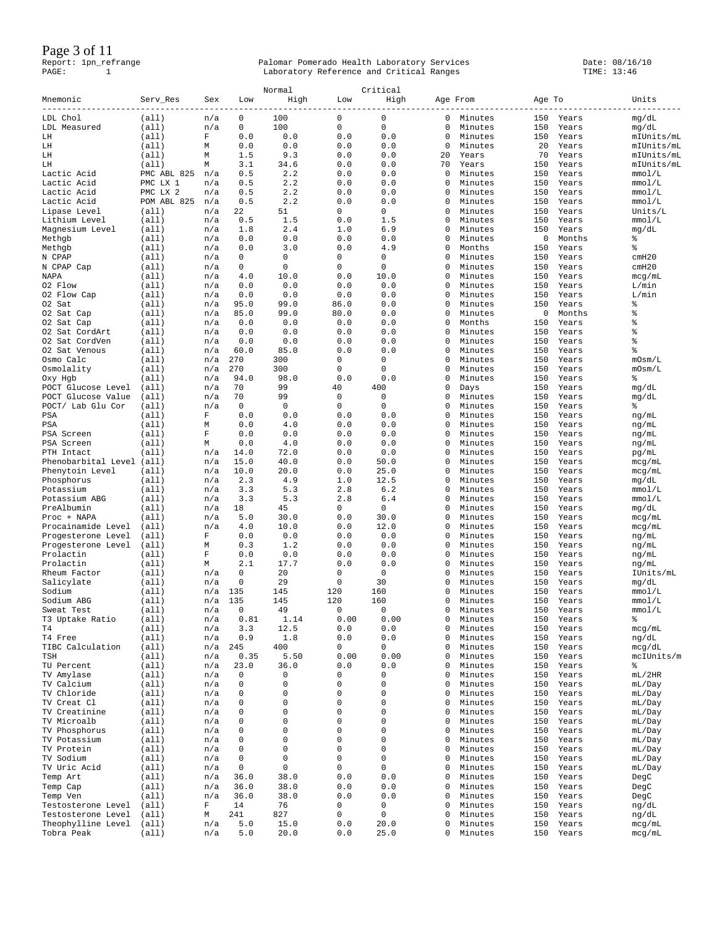Page 3 of 11

| Mnemonic                          | Serv_Res                | Sex              | Low               | Normal<br>High | Low                      | Critical<br>High |          | Age From           | Age To     |                | Units            |
|-----------------------------------|-------------------------|------------------|-------------------|----------------|--------------------------|------------------|----------|--------------------|------------|----------------|------------------|
| $- - - - -$<br>LDL Chol           | (a11)                   | n/a              | 0                 | 100            | 0                        | $\mathbf 0$      | 0        | Minutes            | 150        | Years          | mg/dL            |
| LDL Measured                      | (a11)                   | n/a              | 0                 | 100            | $\mathsf 0$              | $\mathbf 0$      | 0        | Minutes            | 150        | Years          | mg/dL            |
| LH                                | (a11)                   | F                | 0.0               | 0.0            | 0.0                      | 0.0              | 0        | Minutes            | 150        | Years          | mIUnits/mL       |
| LH                                | (a11)                   | Μ                | 0.0               | 0.0            | 0.0                      | 0.0              | 0        | Minutes            | 20         | Years          | mIUnits/mL       |
| LH                                | (a11)                   | М                | 1.5               | 9.3            | 0.0                      | 0.0              | 20       | Years              | 70         | Years          | mIUnits/mL       |
| LH                                | (a11)                   | М                | 3.1               | 34.6           | 0.0                      | 0.0              | 70       | Years              | 150        | Years          | mIUnits/mL       |
| Lactic Acid<br>Lactic Acid        | PMC ABL 825<br>PMC LX 1 | n/a<br>n/a       | 0.5<br>0.5        | 2.2<br>2.2     | 0.0<br>0.0               | 0.0<br>0.0       | 0<br>0   | Minutes<br>Minutes | 150<br>150 | Years<br>Years | mmol/L<br>mmol/L |
| Lactic Acid                       | PMC LX 2                | n/a              | 0.5               | 2.2            | 0.0                      | 0.0              | 0        | Minutes            | 150        | Years          | mmol/L           |
| Lactic Acid                       | POM ABL 825             | n/a              | 0.5               | 2.2            | 0.0                      | 0.0              | 0        | Minutes            | 150        | Years          | mmol/L           |
| Lipase Level                      | (a11)                   | n/a              | 22                | 51             | $\mathbf 0$              | 0                | $\Omega$ | Minutes            | 150        | Years          | Units/L          |
| Lithium Level                     | (a11)                   | n/a              | 0.5               | 1.5            | 0.0                      | 1.5              | 0        | Minutes            | 150        | Years          | mmol/L           |
| Magnesium Level                   | (a11)                   | n/a              | 1.8               | 2.4            | 1.0                      | 6.9              | 0        | Minutes            | 150        | Years          | mg/dL            |
| Methgb                            | (a11)                   | n/a              | 0.0               | 0.0            | 0.0                      | 0.0              | $\Omega$ | Minutes            | 0          | Months         | $\epsilon$       |
| Methgb                            | (all)                   | n/a              | 0.0               | 3.0<br>0       | 0.0<br>0                 | 4.9<br>0         | 0<br>0   | Months             | 150<br>150 | Years          | ್ಠಿ<br>cmH20     |
| N CPAP<br>N CPAP Cap              | (a11)<br>(a11)          | n/a<br>n/a       | 0<br>$\mathbf{0}$ | 0              | $\mathbf 0$              | $\mathbf{0}$     | 0        | Minutes<br>Minutes | 150        | Years<br>Years | cmH20            |
| NAPA                              | (all)                   | n/a              | 4.0               | 10.0           | 0.0                      | 10.0             | 0        | Minutes            | 150        | Years          | mcg/mL           |
| 02 Flow                           | (a11)                   | n/a              | 0.0               | $0.0$          | 0.0                      | 0.0              | 0        | Minutes            | 150        | Years          | L/min            |
| 02 Flow Cap                       | (a11)                   | n/a              | 0.0               | 0.0            | 0.0                      | 0.0              | 0        | Minutes            | 150        | Years          | L/min            |
| 02 Sat                            | (a11)                   | n/a              | 95.0              | 99.0           | 86.0                     | 0.0              | 0        | Minutes            | 150        | Years          | 含                |
| 02 Sat Cap                        | (a11)                   | n/a              | 85.0              | 99.0           | 80.0                     | 0.0              | 0        | Minutes            | 0          | Months         | š                |
| 02 Sat Cap                        | (a11)                   | n/a              | 0.0               | 0.0            | 0.0                      | 0.0              | 0        | Months             | 150        | Years          | 昙                |
| 02 Sat CordArt                    | (a11)                   | n/a              | 0.0               | 0.0            | 0.0                      | 0.0              | 0        | Minutes            | 150        | Years          | 昙                |
| 02 Sat CordVen                    | (a11)<br>(all)          | n/a              | 0.0<br>60.0       | 0.0<br>85.0    | 0.0<br>0.0               | 0.0<br>0.0       | 0<br>0   | Minutes            | 150<br>150 | Years          | 含<br>昙           |
| 02 Sat Venous<br>Osmo Calc        | (a11)                   | n/a<br>n/a       | 270               | 300            | $\mathbf 0$              | 0                | 0        | Minutes<br>Minutes | 150        | Years<br>Years | mOsm/L           |
| Osmolality                        | (a11)                   | n/a              | 270               | 300            | 0                        | 0                | 0        | Minutes            | 150        | Years          | mOsm/L           |
| Oxy Hgb                           | (a11)                   | n/a              | 94.0              | 98.0           | 0.0                      | 0.0              | 0        | Minutes            | 150        | Years          | နွ               |
| POCT<br>Glucose Level             | (a11)                   | n/a              | 70                | 99             | 40                       | 400              | 0        | Days               | 150        | Years          | mg/dL            |
| Glucose Value<br>POCT             | (a11)                   | n/a              | 70                | 99             | 0                        | $\mathbf{0}$     | 0        | Minutes            | 150        | Years          | mg/dL            |
| POCT/ Lab Glu Cor                 | (a11)                   | n/a              | 0                 | 0              | $\mathbf 0$              | 0                | 0        | Minutes            | 150        | Years          | ႜ                |
| PSA                               | (a11)                   | F                | 0.0               | 0.0            | 0.0                      | 0.0              | $\Omega$ | Minutes            | 150        | Years          | ng/mL            |
| PSA                               | (a11)                   | Μ                | 0.0               | 4.0            | 0.0                      | 0.0              | 0        | Minutes            | 150        | Years          | ng/mL            |
| PSA Screen                        | (a11)                   | F                | 0.0               | 0.0            | 0.0                      | 0.0              | 0        | Minutes            | 150        | Years          | ng/mL            |
| PSA Screen                        | (a11)                   | М                | 0.0               | 4.0            | 0.0                      | 0.0              | $\Omega$ | Minutes            | 150        | Years          | ng/mL            |
| PTH Intact<br>Phenobarbital Level | (all)<br>(a11)          | n/a<br>n/a       | 14.0<br>15.0      | 72.0<br>40.0   | 0.0<br>0.0               | 0.0<br>50.0      | 0<br>0   | Minutes<br>Minutes | 150<br>150 | Years<br>Years | pg/mL            |
| Phenytoin Level                   | (a11)                   | n/a              | 10.0              | 20.0           | 0.0                      | 25.0             | 0        | Minutes            | 150        | Years          | mcg/mL<br>mcg/mL |
| Phosphorus                        | (a11)                   | n/a              | 2.3               | 4.9            | 1.0                      | 12.5             | 0        | Minutes            | 150        | Years          | mg/dL            |
| Potassium                         | (a11)                   | n/a              | 3.3               | 5.3            | 2.8                      | 6.2              | 0        | Minutes            | 150        | Years          | mmol/L           |
| Potassium ABG                     | (a11)                   | n/a              | 3.3               | 5.3            | 2.8                      | 6.4              | $\Omega$ | Minutes            | 150        | Years          | mmol/L           |
| PreAlbumin                        | (a11)                   | n/a              | 18                | 45             | 0                        | $\mathbf 0$      | 0        | Minutes            | 150        | Years          | mg/dL            |
| Proc + NAPA                       | (a11)                   | n/a              | 5.0               | 30.0           | 0.0                      | 30.0             | 0        | Minutes            | 150        | Years          | mcg/mL           |
| Procainamide Level                | (a11)                   | n/a              | 4.0               | 10.0           | 0.0                      | 12.0             | 0        | Minutes            | 150        | Years          | mcg/mL           |
| Progesterone Level                | (a11)                   | F                | 0.0               | 0.0<br>1.2     | 0.0                      | 0.0              | 0<br>0   | Minutes            | 150        | Years          | ng/mL            |
| Progesterone Level<br>Prolactin   | (a11)<br>(a11)          | М<br>$\mathbf F$ | 0.3<br>0.0        | 0.0            | 0.0<br>0.0               | 0.0<br>0.0       | 0        | Minutes<br>Minutes | 150<br>150 | Years<br>Years | ng/mL<br>ng/mL   |
| Prolactin                         | (a11)                   | М                | 2.1               | 17.7           | 0.0                      | 0.0              | 0        | Minutes            | 150        | Years          | ng/mL            |
| Rheum Factor                      | (a11)                   | n/a              | 0                 | 20             | 0                        | $\mathbf 0$      | 0        | Minutes            | 150        | Years          | IUnits/mL        |
| Salicylate                        | (a11)                   | n/a              | $\mathbf 0$       | 29             | $\mathbf 0$              | 30               | 0        | Minutes            | 150        | Years          | mg/dL            |
| Sodium                            | (a11)                   | n/a              | 135               | 145            | 120                      | 160              | 0        | Minutes            | 150        | Years          | mmol/L           |
| Sodium ABG                        | (a11)                   | n/a              | 135               | 145            | 120                      | 160              | 0        | Minutes            | 150        | Years          | mmol/L           |
| Sweat Test                        | (a11)                   | n/a              | 0                 | 49             | 0                        | 0                | 0        | Minutes            | 150        | Years          | mmol/L           |
| T3 Uptake Ratio                   | (a11)                   | n/a              | 0.81              | 1.14           | 0.00                     | 0.00             | 0        | Minutes            | 150        | Years          | ۹ò               |
| T4<br>T4 Free                     | (a11)<br>(a11)          | n/a<br>n/a       | 3.3<br>0.9        | 12.5<br>1.8    | 0.0<br>0.0               | 0.0<br>0.0       | 0<br>0   | Minutes<br>Minutes | 150<br>150 | Years<br>Years | mcg/mL<br>ng/dL  |
| TIBC Calculation                  | (a11)                   | n/a              | 245               | 400            | 0                        | 0                | 0        | Minutes            | 150        | Years          | mcg/dL           |
| TSH                               | (a11)                   | n/a              | 0.35              | 5.50           | 0.00                     | 0.00             | 0        | Minutes            | 150        | Years          | mcIUnits/m       |
| TU Percent                        | (a11)                   | n/a              | 23.0              | 36.0           | 0.0                      | 0.0              | 0        | Minutes            | 150        | Years          | နွ               |
| TV Amylase                        | (a11)                   | n/a              | 0                 | 0              | 0                        | 0                | 0        | Minutes            | 150        | Years          | mL/2HR           |
| TV Calcium                        | (all)                   | n/a              | 0                 | 0              | $\mathsf{O}\xspace$      | 0                | 0        | Minutes            | 150        | Years          | mL/Day           |
| TV Chloride                       | (a11)                   | n/a              | 0                 | 0              | $\mathsf{O}\xspace$      | 0                | 0        | Minutes            | 150        | Years          | mL/Day           |
| TV Creat Cl                       | (a11)                   | n/a              | 0                 | 0              | $\mathsf 0$              | 0                | 0        | Minutes            | 150        | Years          | mL/Day           |
| TV Creatinine                     | (a11)                   | n/a              | 0                 | 0              | $\mathsf 0$              | 0                | 0        | Minutes            | 150        | Years          | mL/Day           |
| TV Microalb<br>TV Phosphorus      | (all)<br>(a11)          | n/a<br>n/a       | 0<br>0            | 0<br>0         | $\mathsf{O}\xspace$<br>0 | $\mathbf 0$<br>0 | 0<br>0   | Minutes<br>Minutes | 150<br>150 | Years<br>Years | mL/Day<br>mL/Day |
| TV Potassium                      | (a11)                   | n/a              | 0                 | 0              | $\mathsf 0$              | 0                | 0        | Minutes            | 150        | Years          | mL/Day           |
| TV Protein                        | (all)                   | n/a              | 0                 | 0              | $\mathsf{O}\xspace$      | 0                | 0        | Minutes            | 150        | Years          | mL/Day           |
| TV Sodium                         | (a11)                   | n/a              | $\mathbf 0$       | 0              | $\mathsf 0$              | 0                | $\Omega$ | Minutes            | 150        | Years          | mL/Day           |
| TV Uric Acid                      | (a11)                   | n/a              | 0                 | 0              | $\mathsf 0$              | 0                | 0        | Minutes            | 150        | Years          | mL/Day           |
| Temp Art                          | (all)                   | n/a              | 36.0              | 38.0           | 0.0                      | 0.0              | 0        | Minutes            | 150        | Years          | DegC             |
| Temp Cap                          | (all)                   | n/a              | 36.0              | 38.0           | 0.0                      | 0.0              | 0        | Minutes            | 150        | Years          | DegC             |
| Temp Ven                          | (a11)                   | n/a              | 36.0              | 38.0           | 0.0                      | 0.0              | 0        | Minutes            | 150        | Years          | DegC             |
| Testosterone Level                | (all)                   | F                | 14                | 76             | 0                        | 0                | 0        | Minutes            | 150        | Years          | ng/dL            |
| Testosterone Level                | (all)                   | М                | 241               | 827            | $\mathsf{O}\xspace$      | 0                | 0        | Minutes            | 150        | Years          | ng/dL            |
| Theophylline Level<br>Tobra Peak  | (all)<br>(a11)          | n/a<br>n/a       | 5.0<br>5.0        | 15.0<br>20.0   | 0.0<br>0.0               | 20.0<br>25.0     | 0<br>0   | Minutes<br>Minutes | 150<br>150 | Years<br>Years | mcg/mL<br>mcg/mL |
|                                   |                         |                  |                   |                |                          |                  |          |                    |            |                |                  |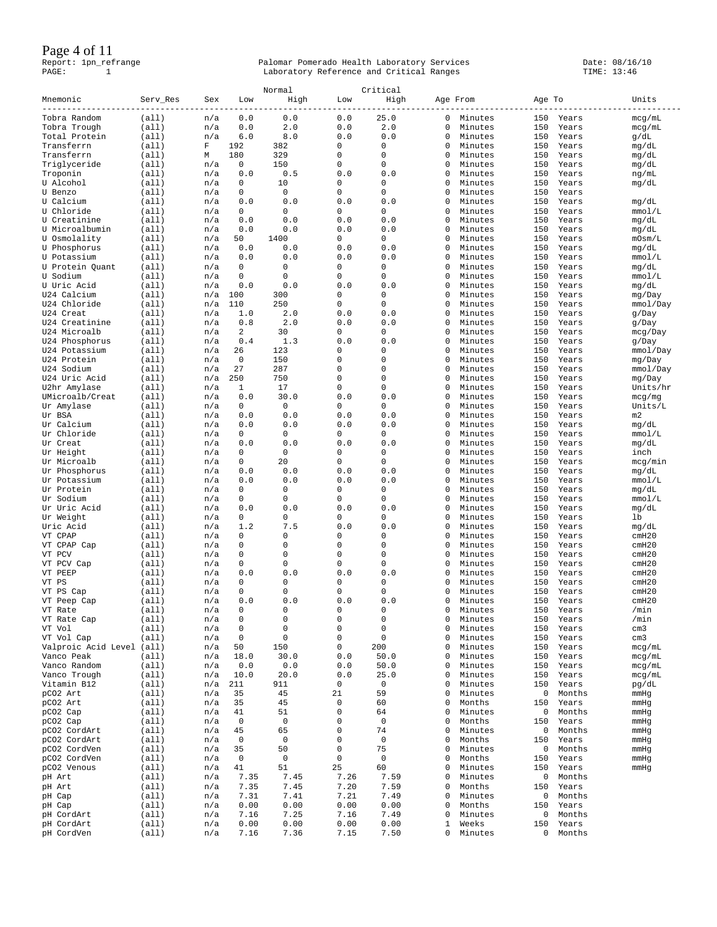### Page 4 of 11

|                                   |                |            |                              | Normal      |                     | Critical            |               |                    |            |                 |                           |
|-----------------------------------|----------------|------------|------------------------------|-------------|---------------------|---------------------|---------------|--------------------|------------|-----------------|---------------------------|
| Mnemonic<br>--------              | Serv_Res       | Sex        | Low                          | High        | Low                 | High                |               | Age From           | Age To     |                 | Units                     |
| Tobra Random                      | (all)          | n/a        | 0.0                          | 0.0         | 0.0                 | 25.0                | 0             | Minutes            | 150        | Years           | mcg/mL                    |
| Tobra Trough<br>Total Protein     | (all)<br>(a11) | n/a        | 0.0<br>6.0                   | 2.0<br>8.0  | 0.0<br>0.0          | 2.0<br>0.0          | $\Omega$<br>0 | Minutes            | 150<br>150 | Years           | mcg/mL                    |
| Transferrn                        | (all)          | n/a<br>F   | 192                          | 382         | 0                   | 0                   | 0             | Minutes<br>Minutes | 150        | Years<br>Years  | g/dL<br>mg/dL             |
| Transferrn                        | (a11)          | М          | 180                          | 329         | 0                   | 0                   | 0             | Minutes            | 150        | Years           | mg/dL                     |
| Triglyceride                      | (all)          | n/a        | 0                            | 150         | 0                   | 0                   | 0             | Minutes            | 150        | Years           | mg/dL                     |
| Troponin                          | (all)          | n/a        | 0.0                          | 0.5         | 0.0                 | 0.0                 | 0             | Minutes            | 150        | Years           | ng/mL                     |
| U Alcohol<br>U Benzo              | (all)<br>(a11) | n/a<br>n/a | $\mathbf{0}$<br>$\mathbf{0}$ | 10<br>0     | $\mathbf 0$<br>0    | $\mathbf{0}$<br>0   | 0<br>0        | Minutes<br>Minutes | 150<br>150 | Years<br>Years  | mg/dL                     |
| U Calcium                         | (all)          | n/a        | 0.0                          | 0.0         | 0.0                 | 0.0                 | 0             | Minutes            | 150        | Years           | mg/dL                     |
| U Chloride                        | (all)          | n/a        | 0                            | 0           | 0                   | 0                   | 0             | Minutes            | 150        | Years           | mmol/L                    |
| U Creatinine                      | (all)          | n/a        | 0.0                          | 0.0         | 0.0                 | 0.0                 | 0             | Minutes            | 150        | Years           | mg/dL                     |
| U Microalbumin                    | (all)          | n/a        | 0.0                          | 0.0         | 0.0                 | 0.0                 | 0             | Minutes            | 150        | Years           | mg/dL                     |
| U Osmolality                      | (a11)<br>(a11) | n/a<br>n/a | 50<br>0.0                    | 1400<br>0.0 | 0<br>0.0            | $\mathbf 0$<br>0.0  | 0<br>0        | Minutes<br>Minutes | 150<br>150 | Years<br>Years  | mOsm/L                    |
| U Phosphorus<br>U Potassium       | (all)          | n/a        | 0.0                          | 0.0         | 0.0                 | 0.0                 | 0             | Minutes            | 150        | Years           | mg/dL<br>mmol/L           |
| U Protein Quant                   | (all)          | n/a        | 0                            | 0           | 0                   | $\mathbf 0$         | 0             | Minutes            | 150        | Years           | mg/dL                     |
| U Sodium                          | (all)          | n/a        | $\mathbf 0$                  | 0           | $\mathbf 0$         | $\mathbf 0$         | 0             | Minutes            | 150        | Years           | mmol/L                    |
| U Uric Acid                       | (all)          | n/a        | 0.0                          | 0.0         | 0.0                 | 0.0                 | 0             | Minutes            | 150        | Years           | mg/dL                     |
| U24 Calcium                       | (all)          | n/a        | 100                          | 300         | 0                   | $\mathbf{0}$        | 0             | Minutes            | 150        | Years           | mg/Day                    |
| U24 Chloride<br>U24 Creat         | (all)<br>(all) | n/a<br>n/a | 110<br>1.0                   | 250<br>2.0  | $\mathbf 0$<br>0.0  | $\mathbf 0$<br>0.0  | 0<br>0        | Minutes<br>Minutes | 150<br>150 | Years<br>Years  | mmol/Day<br>$q$ Day       |
| U24 Creatinine                    | (a11)          | n/a        | 0.8                          | 2.0         | 0.0                 | 0.0                 | 0             | Minutes            | 150        | Years           | g/Day                     |
| U24 Microalb                      | (all)          | n/a        | 2                            | 30          | 0                   | 0                   | 0             | Minutes            | 150        | Years           | mcq/Day                   |
| U24 Phosphorus                    | (all)          | n/a        | 0.4                          | 1.3         | 0.0                 | 0.0                 | 0             | Minutes            | 150        | Years           | g/Day                     |
| U24 Potassium                     | (all)          | n/a        | 26                           | 123         | 0                   | 0                   | 0             | Minutes            | 150        | Years           | mmol/Day                  |
| U24 Protein                       | (all)          | n/a        | $\mathbf 0$                  | 150         | 0                   | 0                   | $\Omega$      | Minutes            | 150        | Years           | mg/Day                    |
| U24 Sodium                        | (all)          | n/a        | 27                           | 287         | 0                   | 0                   | 0             | Minutes            | 150        | Years           | mmol/Day                  |
| U24 Uric Acid<br>U2hr Amylase     | (a11)<br>(all) | n/a<br>n/a | 250<br>1                     | 750<br>17   | 0<br>0              | 0<br>0              | 0<br>$\Omega$ | Minutes<br>Minutes | 150<br>150 | Years<br>Years  | mg/Day<br>Units/hr        |
| UMicroalb/Creat                   | (all)          | n/a        | 0.0                          | 30.0        | 0.0                 | 0.0                 | 0             | Minutes            | 150        | Years           | mcg/mg                    |
| Ur Amylase                        | (all)          | n/a        | 0                            | 0           | 0                   | $\mathbf{0}$        | 0             | Minutes            | 150        | Years           | Units/L                   |
| Ur BSA                            | (all)          | n/a        | 0.0                          | 0.0         | 0.0                 | 0.0                 | 0             | Minutes            | 150        | Years           | m2                        |
| Ur Calcium                        | (all)          | n/a        | 0.0                          | 0.0         | 0.0                 | 0.0                 | 0             | Minutes            | 150        | Years           | mg/dL                     |
| Ur Chloride                       | (all)          | n/a        | $\circ$                      | 0           | 0                   | 0                   | 0             | Minutes            | 150        | Years           | mmol/L                    |
| Ur Creat<br>Ur Height             | (all)<br>(a11) | n/a<br>n/a | 0.0<br>$\mathbf{0}$          | 0.0<br>0    | 0.0<br>0            | 0.0<br>$\mathbf{0}$ | 0<br>0        | Minutes<br>Minutes | 150<br>150 | Years<br>Years  | mg/dL<br>inch             |
| Ur Microalb                       | (all)          | n/a        | 0                            | 20          | 0                   | $\mathbf 0$         | 0             | Minutes            | 150        | Years           | mcg/min                   |
| Ur Phosphorus                     | (all)          | n/a        | 0.0                          | 0.0         | 0.0                 | 0.0                 | 0             | Minutes            | 150        | Years           | mg/dL                     |
| Ur Potassium                      | (a11)          | n/a        | 0.0                          | 0.0         | 0.0                 | 0.0                 | 0             | Minutes            | 150        | Years           | mmol/L                    |
| Ur Protein                        | (all)          | n/a        | $\mathbf{0}$                 | 0           | 0                   | $\mathbf{0}$        | 0             | Minutes            | 150        | Years           | mg/dL                     |
| Ur Sodium                         | (all)          | n/a        | $\mathbf 0$                  | 0           | 0                   | $\mathbf 0$         | 0             | Minutes            | 150        | Years           | mmol/L                    |
| Ur Uric Acid<br>Ur Weight         | (a11)<br>(all) | n/a<br>n/a | 0.0<br>$\mathbf{0}$          | 0.0<br>0    | 0.0<br>0            | 0.0<br>$\mathbf{0}$ | 0<br>0        | Minutes<br>Minutes | 150<br>150 | Years<br>Years  | mg/dL<br>lb               |
| Uric Acid                         | (all)          | n/a        | 1.2                          | 7.5         | 0.0                 | 0.0                 | 0             | Minutes            | 150        | Years           | mg/dL                     |
| VT CPAP                           | (all)          | n/a        | 0                            | 0           | 0                   | 0                   | 0             | Minutes            | 150        | Years           | cmH20                     |
| VT CPAP Cap                       | (all)          | n/a        | 0                            | 0           | 0                   | 0                   | 0             | Minutes            | 150        | Years           | cmH20                     |
| VT PCV                            | (a11)          | n/a        | 0                            | 0           | 0                   | 0                   | 0             | Minutes            | 150        | Years           | cmH20                     |
| VT PCV Cap                        | (a11)          | n/a        | $\mathbf 0$                  | 0           | 0                   | $\mathbf 0$         | 0             | Minutes            | 150        | Years           | cmH20                     |
| VT PEEP<br>VT PS                  | (all)<br>(a11) | n/a<br>n/a | 0.0<br>0                     | 0.0<br>0    | 0.0<br>0            | 0.0<br>0            | 0<br>0        | Minutes<br>Minutes | 150<br>150 | Years<br>Years  | cmH20<br>cmH20            |
| VT PS Cap                         | (all)          | n/a        | $\mathbf{0}$                 | 0           | 0                   | $\mathbf 0$         | 0             | Minutes            | 150        | Years           | cmH20                     |
| VT Peep Cap                       | (all)          | n/a        | 0.0                          | 0.0         | 0.0                 | 0.0                 | 0             | Minutes            | 150        | Years           | cmH20                     |
| VT Rate                           | (all)          | n/a        | 0                            | 0           | 0                   | 0                   | 0             | Minutes            | 150        | Years           | /min                      |
| VT Rate Cap                       | (all)          | n/a        | 0                            | 0           | $\mathsf{O}\xspace$ | $\mathsf 0$         | 0             | Minutes            | 150        | Years           | /min                      |
| VT Vol                            | (a11)          | n/a        | 0                            | 0           | $\mathsf{O}\xspace$ | $\mathsf 0$         | 0             | Minutes            | 150        | Years           | cm3                       |
| VT Vol Cap<br>Valproic Acid Level | (all)<br>(all) | n/a<br>n/a | 0<br>50                      | 0<br>150    | 0<br>0              | $\mathsf 0$<br>200  | 0<br>0        | Minutes<br>Minutes | 150<br>150 | Years<br>Years  | cm <sub>3</sub><br>mcg/mL |
| Vanco Peak                        | (all)          | n/a        | 18.0                         | 30.0        | 0.0                 | 50.0                | 0             | Minutes            | 150        | Years           | mcg/mL                    |
| Vanco Random                      | (all)          | n/a        | 0.0                          | 0.0         | 0.0                 | 50.0                | 0             | Minutes            | 150        | Years           | mcg/mL                    |
| Vanco Trough                      | (all)          | n/a        | 10.0                         | 20.0        | 0.0                 | 25.0                | 0             | Minutes            | 150        | Years           | mcg/mL                    |
| Vitamin B12                       | (all)          | n/a        | 211                          | 911         | 0                   | 0                   | 0             | Minutes            | 150        | Years           | pg/dL                     |
| pCO2 Art                          | (all)          | n/a        | 35                           | 45          | 21                  | 59                  | 0             | Minutes            | 0          | Months          | mmHg                      |
| pCO2 Art<br>pCO2 Cap              | (all)<br>(all) | n/a<br>n/a | 35<br>41                     | 45<br>51    | 0<br>0              | 60<br>64            | 0<br>0        | Months<br>Minutes  | 150<br>0   | Years<br>Months | mmHg<br>mmHg              |
| pCO2 Cap                          | (all)          | n/a        | 0                            | 0           | 0                   | 0                   | 0             | Months             | 150        | Years           | mmHg                      |
| pCO2 CordArt                      | (all)          | n/a        | 45                           | 65          | 0                   | 74                  | 0             | Minutes            | 0          | Months          | mmHg                      |
| pCO2 CordArt                      | (all)          | n/a        | 0                            | 0           | 0                   | $\mathbb O$         | 0             | Months             | 150        | Years           | mmHg                      |
| pCO2 CordVen                      | (all)          | n/a        | 35                           | 50          | 0                   | 75                  | 0             | Minutes            | 0          | Months          | mmHg                      |
| pCO2 CordVen                      | (all)          | n/a        | $\mathbf 0$                  | 0           | $\mathsf 0$         | $\mathbf 0$         | 0             | Months             | 150        | Years           | mmHg                      |
| pCO2 Venous                       | (all)          | n/a        | 41                           | 51<br>7.45  | 25<br>7.26          | 60                  | 0<br>0        | Minutes            | 150        | Years<br>Months | mmHg                      |
| pH Art<br>pH Art                  | (all)<br>(all) | n/a<br>n/a | 7.35<br>7.35                 | 7.45        | 7.20                | 7.59<br>7.59        | 0             | Minutes<br>Months  | 0<br>150   | Years           |                           |
| pH Cap                            | (all)          | n/a        | 7.31                         | 7.41        | 7.21                | 7.49                | 0             | Minutes            | 0          | Months          |                           |
| pH Cap                            | (all)          | n/a        | 0.00                         | 0.00        | 0.00                | 0.00                | 0             | Months             | 150        | Years           |                           |
| pH CordArt                        | (all)          | n/a        | 7.16                         | 7.25        | 7.16                | 7.49                | 0             | Minutes            | 0          | Months          |                           |
| pH CordArt                        | (all)          | n/a        | 0.00                         | 0.00        | 0.00                | 0.00                | 1             | Weeks              | 150        | Years           |                           |
| pH CordVen                        | (all)          | n/a        | 7.16                         | 7.36        | 7.15                | 7.50                | 0             | Minutes            |            | 0 Months        |                           |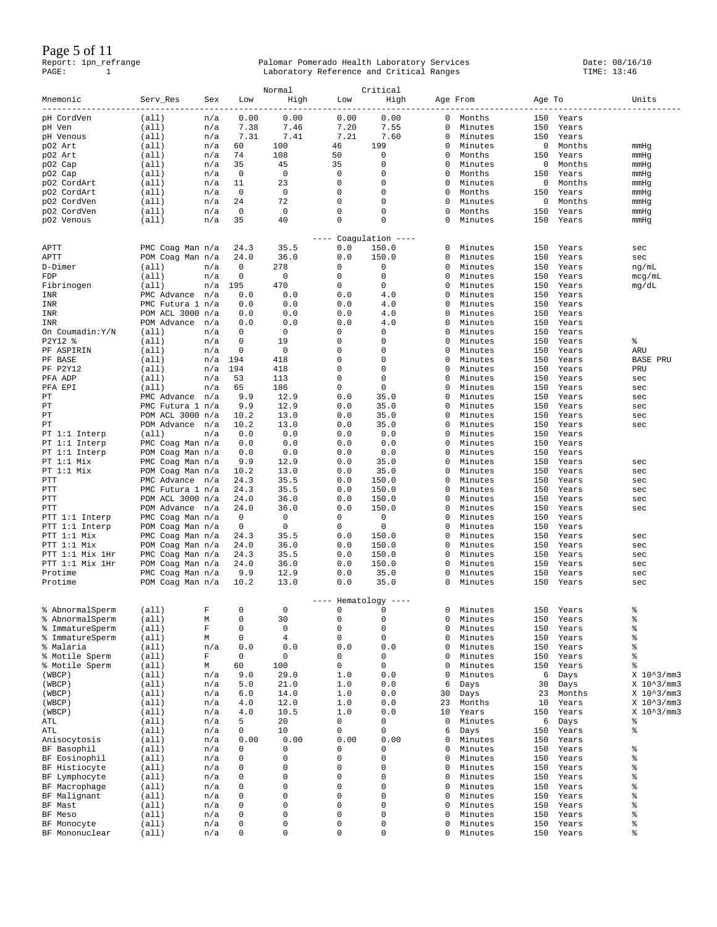Page 5 of 11

|                 |                  |             |          | Normal      |             | Critical                   |          |         |        |           |                        |
|-----------------|------------------|-------------|----------|-------------|-------------|----------------------------|----------|---------|--------|-----------|------------------------|
| Mnemonic        | Serv_Res         | Sex         | Low      | High        | Low         | High                       | Age From |         | Age To |           | Units                  |
| pH CordVen      | (all)            | n/a         | 0.00     | 0.00        | 0.00        | 0.00                       | 0        | Months  | 150    | Years     |                        |
| pH Ven          | (all)            | n/a         | 7.38     | 7.46        | 7.20        | 7.55                       | 0        | Minutes | 150    | Years     |                        |
| pH Venous       | (a11)            | n/a         | 7.31     | 7.41        | 7.21        | 7.60                       | 0        | Minutes | 150    | Years     |                        |
|                 | (a11)            |             | 60       | 100         | 46          | 199                        | 0        | Minutes | 0      | Months    |                        |
| pO2 Art         |                  | n/a         |          |             |             |                            |          |         |        |           | mmHg                   |
| p02 Art         | (a11)            | n/a         | 74       | 108         | 50          | 0                          | 0        | Months  | 150    | Years     | mmHg                   |
| pO2 Cap         | (a11)            | n/a         | 35       | 45          | 35          | 0                          | 0        | Minutes | 0      | Months    | mmHg                   |
| pO2 Cap         | (all)            | n/a         | 0        | 0           | 0           | 0                          | $\Omega$ | Months  | 150    | Years     | mmHg                   |
| p02 CordArt     | (a11)            | n/a         | 11       | 23          | 0           | 0                          | 0        | Minutes | 0      | Months    | mmHg                   |
| p02 CordArt     | (a11)            | n/a         | 0        | 0           | 0           | 0                          | 0        | Months  | 150    | Years     | mmHg                   |
| p02 CordVen     | (a11)            | n/a         | 24       | 72          | 0           | 0                          | 0        | Minutes | 0      | Months    | mmHg                   |
| p02 CordVen     | (a11)            | n/a         | 0        | 0           | 0           | $\mathbf 0$                | 0        | Months  | 150    | Years     | mmHg                   |
| p02 Venous      | (a11)            | n/a         | 35       | 40          | 0           | $\mathbf 0$                | 0        | Minutes | 150    | Years     | mmHg                   |
|                 |                  |             |          |             | $- - - - -$ |                            |          |         |        |           |                        |
| APTT            | PMC Coag Man n/a |             | 24.3     | 35.5        | 0.0         | Coagulation $---$<br>150.0 | 0        | Minutes | 150    | Years     | sec                    |
| APTT            | POM Coag Man n/a |             | 24.0     | 36.0        | 0.0         | 150.0                      | 0        | Minutes | 150    | Years     | sec                    |
| D-Dimer         | (all)            | n/a         | 0        | 278         | 0           | 0                          | 0        | Minutes | 150    | Years     | ng/mL                  |
| FDP             | (a11)            | n/a         | 0        | 0           | 0           | $\mathbf 0$                | 0        | Minutes | 150    | Years     | mcg/mL                 |
|                 |                  |             |          |             |             |                            |          |         |        |           |                        |
| Fibrinogen      | (all)            | n/a         | 195      | 470         | 0           | 0                          | 0        | Minutes | 150    | Years     | mg/dL                  |
| INR             | PMC Advance n/a  |             | 0.0      | 0.0         | 0.0         | 4.0                        | $\Omega$ | Minutes | 150    | Years     |                        |
| <b>INR</b>      | PMC Futura 1     | n/a         | 0.0      | 0.0         | 0.0         | 4.0                        | $\Omega$ | Minutes | 150    | Years     |                        |
| INR             | POM ACL 3000     | n/a         | 0.0      | 0.0         | 0.0         | 4.0                        | 0        | Minutes | 150    | Years     |                        |
| INR             | POM Advance      | n/a         | 0.0      | 0.0         | 0.0         | 4.0                        | 0        | Minutes | 150    | Years     |                        |
| On Coumadin:Y/N | (a11)            | n/a         | 0        | 0           | 0           | 0                          | 0        | Minutes | 150    | Years     |                        |
| P2Y12 %         | (a11)            | n/a         | 0        | 19          | 0           | 0                          | 0        | Minutes | 150    | Years     | နွ                     |
|                 |                  |             | 0        | 0           | 0           | 0                          | 0        | Minutes | 150    |           |                        |
| PF ASPIRIN      | (a11)            | n/a         |          |             |             |                            |          |         |        | Years     | ARU                    |
| PF BASE         | (a11)            | n/a         | 194      | 418         | 0           | 0                          | 0        | Minutes | 150    | Years     | <b>BASE PRU</b>        |
| PF P2Y12        | (a11)            | n/a         | 194      | 418         | 0           | $\mathbf 0$                | 0        | Minutes | 150    | Years     | PRU                    |
| PFA ADP         | (a11)            | n/a         | 53       | 113         | 0           | 0                          | $\Omega$ | Minutes | 150    | Years     | sec                    |
| PFA EPI         | (a11)            | n/a         | 65       | 186         | 0           | $\mathbf 0$                | 0        | Minutes | 150    | Years     | sec                    |
| PT              | PMC Advance      | n/a         | 9.9      | 12.9        | $0.0$       | 35.0                       | $\Omega$ | Minutes | 150    | Years     | sec                    |
| PT              | PMC Futura 1 n/a |             | 9.9      | 12.9        | 0.0         | 35.0                       | $\Omega$ | Minutes | 150    | Years     | sec                    |
|                 |                  |             |          |             |             |                            |          |         |        |           |                        |
| PТ              | POM ACL 3000 n/a |             | 10.2     | 13.0        | 0.0         | 35.0                       | 0        | Minutes | 150    | Years     | sec                    |
| PT              | POM Advance      | n/a         | 10.2     | 13.0        | 0.0         | 35.0                       | 0        | Minutes | 150    | Years     | sec                    |
| PT 1:1 Interp   | (a11)            | n/a         | 0.0      | 0.0         | 0.0         | 0.0                        | 0        | Minutes | 150    | Years     |                        |
| PT 1:1 Interp   | PMC Coag Man n/a |             | 0.0      | 0.0         | 0.0         | 0.0                        | 0        | Minutes | 150    | Years     |                        |
| PT 1:1 Interp   | POM Coag Man n/a |             | 0.0      | 0.0         | 0.0         | 0.0                        | $\Omega$ | Minutes | 150    | Years     |                        |
| PT 1:1 Mix      | PMC Coag Man n/a |             | 9.9      | 12.9        | 0.0         | 35.0                       | 0        | Minutes | 150    | Years     | sec                    |
| PT 1:1 Mix      | POM Coag Man n/a |             | 10.2     | 13.0        | 0.0         | 35.0                       | 0        | Minutes | 150    | Years     | sec                    |
| PTT             | PMC Advance n/a  |             | 24.3     | 35.5        | 0.0         | 150.0                      | 0        | Minutes | 150    | Years     | sec                    |
|                 |                  |             | 24.3     | 35.5        | 0.0         | 150.0                      | 0        | Minutes | 150    |           |                        |
| PTT             | PMC Futura 1 n/a |             |          |             |             |                            |          |         |        | Years     | sec                    |
| PTT             | POM ACL 3000 n/a |             | 24.0     | 36.0        | 0.0         | 150.0                      | $\Omega$ | Minutes | 150    | Years     | sec                    |
| PTT             | POM Advance n/a  |             | 24.0     | 36.0        | 0.0         | 150.0                      | 0        | Minutes | 150    | Years     | sec                    |
| PTT 1:1 Interp  | PMC Coag Man n/a |             | 0        | 0           | 0           | 0                          | $\Omega$ | Minutes | 150    | Years     |                        |
| PTT 1:1 Interp  | POM Coag Man n/a |             | 0        | 0           | 0           | $\mathbf 0$                | 0        | Minutes | 150    | Years     |                        |
| PTT 1:1 Mix     | PMC Coag Man n/a |             | 24.3     | 35.5        | 0.0         | 150.0                      | 0        | Minutes | 150    | Years     | sec                    |
| PTT 1:1 Mix     | POM Coag Man n/a |             | 24.0     | 36.0        | 0.0         | 150.0                      | 0        | Minutes | 150    | Years     | sec                    |
| PTT 1:1 Mix 1Hr | PMC Coag Man n/a |             | 24.3     | 35.5        | 0.0         | 150.0                      | 0        | Minutes | 150    | Years     | sec                    |
| PTT 1:1 Mix 1Hr | POM Coag Man n/a |             | 24.0     | 36.0        | 0.0         | 150.0                      | $\Omega$ | Minutes | 150    | Years     |                        |
|                 |                  |             |          |             |             |                            |          |         |        |           | sec                    |
| Protime         | PMC Coag Man n/a |             | 9.9      | 12.9        | 0.0         | 35.0                       | 0        | Minutes | 150    | Years     | sec                    |
| Protime         | POM Coag Man n/a |             | 10.2     | 13.0        | 0.0         | 35.0                       | $\Omega$ | Minutes | 150    | Years     | sec                    |
|                 |                  |             |          |             |             | $---$ Hematology $---$     |          |         |        |           |                        |
| % AbnormalSperm | (all)            | F           | $\Omega$ | 0           | 0           | $\mathbf{0}$               | 0        | Minutes |        | 150 Years | 含                      |
| % AbnormalSperm | (a11)            | M           | 0        | 30          | 0           | 0                          | 0        | Minutes | 150    | Years     | ి                      |
| % ImmatureSperm | (a11)            | $\mathbf F$ | 0        | $\mathsf 0$ | 0           | $\mathsf 0$                | 0        | Minutes | 150    | Years     | န္စ                    |
| % ImmatureSperm | (all)            | М           | 0        | 4           | 0           | 0                          | $\Omega$ | Minutes | 150    | Years     | န္                     |
| % Malaria       | (all)            | n/a         | 0.0      | 0.0         | 0.0         | 0.0                        | 0        | Minutes | 150    | Years     | နွ                     |
| % Motile Sperm  |                  | $\mathbf F$ | 0        | 0           | 0           | $\mathbf 0$                | 0        | Minutes |        |           | န္စ                    |
|                 | (all)            |             |          |             |             |                            |          |         | 150    | Years     |                        |
| % Motile Sperm  | (all)            | М           | 60       | 100         | 0           | $\mathbf 0$                | $\Omega$ | Minutes | 150    | Years     | 含                      |
| (WBCP)          | (all)            | n/a         | 9.0      | 29.0        | 1.0         | 0.0                        | 0        | Minutes | 6      | Days      | $X$ 10 $^{\circ}3/mm3$ |
| (WBCP)          | (all)            | n/a         | 5.0      | 21.0        | 1.0         | 0.0                        | 6        | Days    | 30     | Days      | $X$ 10 $^{\circ}3/mm3$ |
| (WBCP)          | (a11)            | n/a         | 6.0      | 14.0        | 1.0         | 0.0                        | 30       | Days    | 23     | Months    | $X$ 10 $^{\circ}3/mm3$ |
| (WBCP)          | (all)            | n/a         | 4.0      | 12.0        | 1.0         | 0.0                        | 23       | Months  | 10     | Years     | $X$ 10 $^{\circ}3/mm3$ |
| (WBCP)          | (all)            | n/a         | 4.0      | 10.5        | 1.0         | 0.0                        | 10       | Years   | 150    | Years     | $X$ 10 $^{\circ}3/mm3$ |
| ATL             | (all)            |             | 5        | 20          | 0           | $\mathbf 0$                | 0        | Minutes | 6      | Days      | န္စ                    |
|                 |                  | n/a         |          |             |             |                            |          |         |        |           |                        |
| ATL             | (all)            | n/a         | 0        | 10          | 0           | $\mathsf 0$                | 6        | Days    | 150    | Years     | န္စ                    |
| Anisocytosis    | (all)            | n/a         | 0.00     | 0.00        | 0.00        | 0.00                       | 0        | Minutes | 150    | Years     |                        |
| BF Basophil     | (all)            | n/a         | 0        | 0           | 0           | 0                          | 0        | Minutes | 150    | Years     | ి                      |
| BF Eosinophil   | (all)            | n/a         | 0        | 0           | 0           | 0                          | 0        | Minutes | 150    | Years     | š                      |
| BF Histiocyte   | (all)            | n/a         | 0        | 0           | 0           | 0                          | 0        | Minutes | 150    | Years     | န္စ                    |
| BF Lymphocyte   | (all)            | n/a         | 0        | 0           | 0           | 0                          | 0        | Minutes | 150    | Years     | ి                      |
|                 |                  |             | 0        | 0           | 0           | 0                          | 0        |         |        |           | š                      |
| BF Macrophage   | (all)            | n/a         |          |             |             |                            |          | Minutes | 150    | Years     |                        |
| BF Malignant    | (all)            | n/a         | 0        | $\mathbf 0$ | 0           | 0                          | 0        | Minutes | 150    | Years     | န္စ                    |
| BF Mast         | (all)            | n/a         | 0        | 0           | 0           | 0                          | $\Omega$ | Minutes | 150    | Years     | š                      |
| BF Meso         | (all)            | n/a         | 0        | 0           | 0           | 0                          | $\Omega$ | Minutes | 150    | Years     | န္                     |
| BF Monocyte     | (a11)            | n/a         | 0        | $\mathbf 0$ | 0           | 0                          | 0        | Minutes | 150    | Years     | š                      |
| BF Mononuclear  | (all)            | n/a         | 0        | 0           | 0           | 0                          | 0        | Minutes | 150    | Years     | š                      |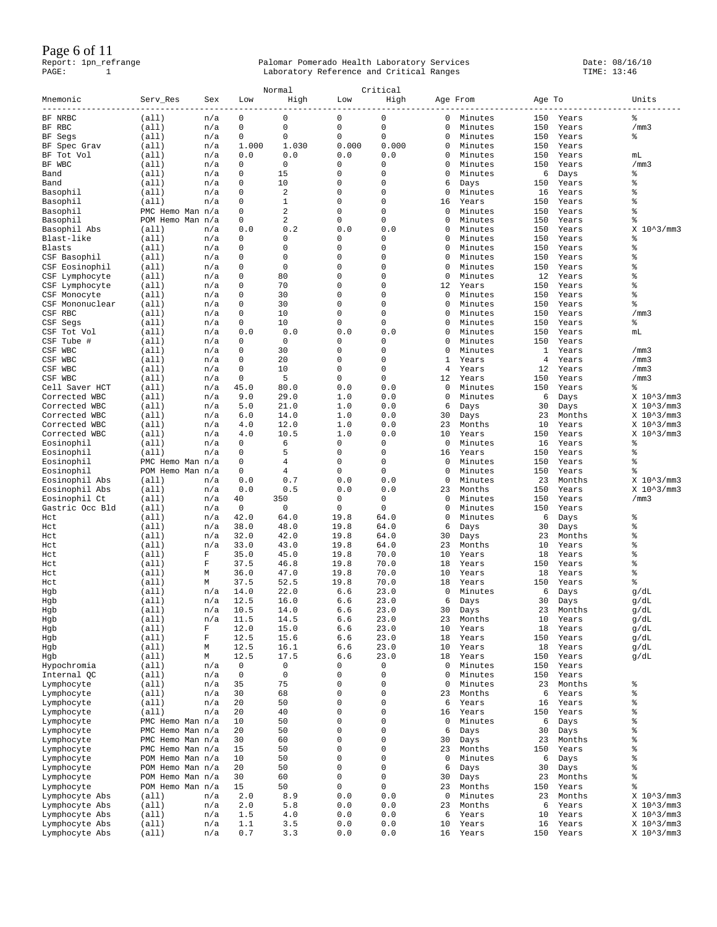### Page 6 of 11

|                 |                  |             |          | Normal                  |             | Critical    |             |         |        |        |                         |
|-----------------|------------------|-------------|----------|-------------------------|-------------|-------------|-------------|---------|--------|--------|-------------------------|
| Mnemonic        | Serv_Res         | Sex         | Low      | High                    | Low         | High        | Age From    |         | Age To |        | Units                   |
| BF NRBC         | (all)            | n/a         | 0        | $\mathbf 0$             | $\mathbf 0$ | $\mathbf 0$ | 0           | Minutes | 150    | Years  | နွ                      |
| BF RBC          | (all)            | n/a         | 0        | $\mathbf 0$             | $\mathbf 0$ | $\mathbf 0$ | 0           | Minutes | 150    | Years  | /mm3                    |
| BF Segs         | (a11)            | n/a         | 0        | 0                       | $\mathbf 0$ | 0           | 0           | Minutes | 150    | Years  | ႜ                       |
|                 | (all)            | n/a         | 1.000    | 1.030                   | 0.000       | 0.000       | 0           | Minutes | 150    | Years  |                         |
| BF Spec Grav    |                  |             |          | 0.0                     | 0.0         | 0.0         | 0           | Minutes | 150    |        |                         |
| BF Tot Vol      | (all)            | n/a         | 0.0      |                         |             |             |             |         |        | Years  | mL                      |
| BF WBC          | (a11)            | n/a         | 0        | 0                       | 0           | 0           | $\Omega$    | Minutes | 150    | Years  | /mm3                    |
| Band            | (a11)            | n/a         | 0        | 15                      | $\mathbf 0$ | $\mathbf 0$ | 0           | Minutes | 6      | Days   | နွ                      |
| Band            | (all)            | n/a         | 0        | 10                      | $\mathbf 0$ | $\Omega$    | 6           | Days    | 150    | Years  | å                       |
| Basophil        | (a11)            | n/a         | 0        | $\overline{\mathbf{c}}$ | $\mathbf 0$ | 0           | 0           | Minutes | 16     | Years  | နွ                      |
| Basophil        | (all)            | n/a         | 0        | $\mathbf{1}$            | $\mathbf 0$ | $\mathbf 0$ | 16          | Years   | 150    | Years  | နွ                      |
| Basophil        | PMC Hemo Man n/a |             | 0        | 2                       | $\mathbf 0$ | $\Omega$    | 0           | Minutes | 150    | Years  | å                       |
| Basophil        | POM Hemo Man n/a |             | 0        | 2                       | $\mathbf 0$ | 0           | $\mathbf 0$ | Minutes | 150    | Years  | å                       |
| Basophil Abs    | (all)            | n/a         | 0.0      | 0.2                     | 0.0         | 0.0         | 0           | Minutes | 150    | Years  | X 10^3/mm3              |
| Blast-like      | (a11)            | n/a         | 0        | $\mathbf 0$             | $\mathbf 0$ | $\mathbf 0$ | 0           | Minutes | 150    | Years  | နွ                      |
| Blasts          | (a11)            | n/a         | 0        | 0                       | $\mathbf 0$ | 0           | $\mathbf 0$ | Minutes | 150    | Years  | နွ                      |
| CSF Basophil    | (all)            | n/a         | 0        | 0                       | $\mathbf 0$ | 0           | $\mathbf 0$ | Minutes | 150    | Years  | နွ                      |
| CSF Eosinophil  | (all)            | n/a         | 0        | $\mathbf 0$             | $\mathbf 0$ | 0           | 0           | Minutes | 150    | Years  | နွ                      |
| CSF Lymphocyte  | (a11)            | n/a         | $\Omega$ | 80                      | $\mathbf 0$ | 0           | 0           | Minutes | 12     | Years  | နွ                      |
| CSF Lymphocyte  | (all)            | n/a         | 0        | 70                      | $\mathbf 0$ | 0           | 12          | Years   | 150    | Years  | နွ                      |
|                 |                  |             | $\Omega$ | 30                      | $\mathbf 0$ | 0           | $\Omega$    | Minutes | 150    |        | နွ                      |
| CSF Monocyte    | (a11)            | n/a         |          |                         |             |             |             |         |        | Years  |                         |
| CSF Mononuclear | (a11)            | n/a         | 0        | 30                      | $\mathbf 0$ | $\mathbf 0$ | 0           | Minutes | 150    | Years  | န့                      |
| CSF RBC         | (a11)            | n/a         | 0        | 10                      | $\mathbf 0$ | $\Omega$    | $\Omega$    | Minutes | 150    | Years  | /mm3                    |
| CSF Segs        | (a11)            | n/a         | $\Omega$ | 10                      | $\mathbf 0$ | 0           | $\Omega$    | Minutes | 150    | Years  | နွ                      |
| CSF<br>Tot Vol  | (all)            | n/a         | 0.0      | 0.0                     | 0.0         | 0.0         | 0           | Minutes | 150    | Years  | mL                      |
| CSF Tube #      | (a11)            | n/a         | 0        | 0                       | 0           | 0           | 0           | Minutes | 150    | Years  |                         |
| CSF WBC         | (a11)            | n/a         | 0        | 30                      | $\mathbf 0$ | 0           | $\Omega$    | Minutes | 1      | Years  | /mm3                    |
| WBC<br>CSF      | (all)            | n/a         | 0        | 20                      | $\mathbf 0$ | 0           | 1           | Years   | 4      | Years  | /mm3                    |
| CSF WBC         | (a11)            | n/a         | 0        | 10                      | $\mathbf 0$ | $\mathbf 0$ | 4           | Years   | 12     | Years  | /mm3                    |
| CSF WBC         | (a11)            | n/a         | 0        | 5                       | $\mathbf 0$ | $\Omega$    | 12          | Years   | 150    | Years  | /mm3                    |
| Cell Saver HCT  | (all)            | n/a         | 45.0     | 80.0                    | 0.0         | 0.0         | 0           | Minutes | 150    | Years  | နွ                      |
| Corrected WBC   | (a11)            | n/a         | 9.0      | 29.0                    | 1.0         | 0.0         | 0           | Minutes | 6      | Days   | $X$ 10 $^{\circ}3/mm3$  |
| Corrected WBC   | (all)            | n/a         | 5.0      | 21.0                    | 1.0         | 0.0         | 6           | Days    | 30     | Days   | $X$ 10 $^{\wedge}3/mm3$ |
| Corrected WBC   | (all)            | n/a         | 6.0      | 14.0                    | 1.0         | 0.0         | 30          | Days    | 23     | Months | $X$ 10 $^{\circ}3/mm3$  |
| Corrected WBC   | (a11)            | n/a         | 4.0      | 12.0                    | 1.0         | 0.0         | 23          | Months  | 10     | Years  | $X$ 10 $^{\circ}3/mm3$  |
| Corrected WBC   | (all)            | n/a         | 4.0      | 10.5                    | 1.0         | 0.0         | 10          | Years   | 150    | Years  | $X$ 10 $^{\circ}3/mm3$  |
| Eosinophil      | (all)            | n/a         | 0        | 6                       | $\mathbf 0$ | $\Omega$    | 0           | Minutes | 16     | Years  | နွ                      |
|                 |                  |             | 0        | 5                       | $\mathbf 0$ | 0           | 16          | Years   | 150    |        | နွ                      |
| Eosinophil      | (a11)            | n/a         | 0        | $\overline{4}$          | $\mathbf 0$ | 0           |             |         |        | Years  | နွ                      |
| Eosinophil      | PMC Hemo Man n/a |             | 0        | 4                       | $\mathbf 0$ | $\Omega$    | 0           | Minutes | 150    | Years  | နွ                      |
| Eosinophil      | POM Hemo Man n/a |             |          |                         |             |             | 0           | Minutes | 150    | Years  |                         |
| Eosinophil Abs  | (all)            | n/a         | 0.0      | 0.7                     | 0.0         | 0.0         | 0           | Minutes | 23     | Months | $X$ 10 $^{\wedge}3/mm3$ |
| Eosinophil Abs  | (all)            | n/a         | 0.0      | 0.5                     | 0.0         | 0.0         | 23          | Months  | 150    | Years  | $X$ 10 $^{\circ}3/mm3$  |
| Eosinophil Ct   | (a11)            | n/a         | 40       | 350                     | $\mathbf 0$ | $\mathbf 0$ | $\mathbf 0$ | Minutes | 150    | Years  | /mm3                    |
| Gastric Occ Bld | (a11)            | n/a         | 0        | 0                       | $\mathbf 0$ | 0           | $\mathbf 0$ | Minutes | 150    | Years  |                         |
| Hct             | (all)            | n/a         | 42.0     | 64.0                    | 19.8        | 64.0        | 0           | Minutes | 6      | Days   | နွ                      |
| Hct             | (a11)            | n/a         | 38.0     | 48.0                    | 19.8        | 64.0        | 6           | Days    | 30     | Days   | g                       |
| Hct             | (a11)            | n/a         | 32.0     | 42.0                    | 19.8        | 64.0        | 30          | Days    | 23     | Months | နွ                      |
| Hct             | (all)            | n/a         | 33.0     | 43.0                    | 19.8        | 64.0        | 23          | Months  | 10     | Years  | နွ                      |
| Hct             | (all)            | F           | 35.0     | 45.0                    | 19.8        | 70.0        | 10          | Years   | 18     | Years  | နွ                      |
| Hct             | (a11)            | F           | 37.5     | 46.8                    | 19.8        | 70.0        | 18          | Years   | 150    | Years  | နွ                      |
| Hct             | (all)            | М           | 36.0     | 47.0                    | 19.8        | 70.0        | 10          | Years   | 18     | Years  | å                       |
| Hct             | (a11)            | М           | 37.5     | 52.5                    | 19.8        | 70.0        | 18          | Years   | 150    | Years  | နွ                      |
| Hgb             | (all)            | n/a         | 14.0     | 22.0                    | 6.6         | 23.0        | 0           | Minutes | 6      | Days   | g/dL                    |
| Hgb             | (all)            | n/a         | 12.5     | 16.0                    | 6.6         | 23.0        | 6           | Days    | 30     | Days   | g/dL                    |
| Hgb             | (all)            | n/a         | 10.5     | 14.0                    | 6.6         | 23.0        | 30          | Days    | 23     | Months | g/dL                    |
| Hgb             | (a11)            | n/a         | 11.5     | 14.5                    | 6.6         | 23.0        | 23          | Months  | 10     | Years  | g/dL                    |
| Hgb             | (a11)            | F           | 12.0     | 15.0                    | 6.6         | 23.0        | 10          | Years   | 18     | Years  | g/dL                    |
| Hgb             | (a11)            | $\mathbf F$ | 12.5     | 15.6                    | 6.6         | 23.0        | 18          | Years   | 150    | Years  | g/dL                    |
| Hgb             | (all)            | М           | 12.5     | 16.1                    | 6.6         | 23.0        | 10          | Years   | 18     | Years  | g/dL                    |
| Hgb             | (all)            | М           | 12.5     | 17.5                    | 6.6         | 23.0        | 18          | Years   | 150    | Years  | g/dL                    |
| Hypochromia     | (all)            | n/a         | 0        | $\mathbf 0$             | $\mathbf 0$ | 0           | 0           | Minutes | 150    | Years  |                         |
|                 |                  |             | 0        | $\mathbf 0$             | $\mathsf 0$ | 0           | 0           | Minutes | 150    | Years  |                         |
| Internal QC     | (all)            | n/a         |          |                         | $\mathbf 0$ | 0           |             |         |        |        |                         |
| Lymphocyte      | (all)            | n/a         | 35       | 75                      |             |             | 0           | Minutes | 23     | Months | နွ                      |
| Lymphocyte      | (a11)            | n/a         | 30       | 68                      | $\mathbf 0$ | $\mathbf 0$ | 23          | Months  | 6      | Years  | နွ                      |
| Lymphocyte      | (all)            | n/a         | 20       | 50                      | $\mathbf 0$ | 0           | 6           | Years   | 16     | Years  | g                       |
| Lymphocyte      | (all)            | n/a         | 20       | 40                      | $\mathbf 0$ | $\mathbf 0$ | 16          | Years   | 150    | Years  | g                       |
| Lymphocyte      | PMC Hemo Man n/a |             | 10       | 50                      | $\mathbf 0$ | 0           | 0           | Minutes | 6      | Days   | g                       |
| Lymphocyte      | PMC Hemo Man n/a |             | 20       | 50                      | $\mathbf 0$ | $\mathbf 0$ | 6           | Days    | 30     | Days   | g                       |
| Lymphocyte      | PMC Hemo Man n/a |             | 30       | 60                      | $\mathbf 0$ | 0           | 30          | Days    | 23     | Months | g                       |
| Lymphocyte      | PMC Hemo Man n/a |             | 15       | 50                      | $\mathbf 0$ | 0           | 23          | Months  | 150    | Years  | g                       |
| Lymphocyte      | POM Hemo Man n/a |             | 10       | 50                      | $\mathbf 0$ | $\mathbf 0$ | 0           | Minutes | 6      | Days   | g                       |
| Lymphocyte      | POM Hemo Man n/a |             | 20       | 50                      | $\mathbf 0$ | 0           | 6           | Days    | 30     | Days   | နွ                      |
| Lymphocyte      | POM Hemo Man n/a |             | 30       | 60                      | $\mathbf 0$ | 0           | 30          | Days    | 23     | Months | န့                      |
| Lymphocyte      | POM Hemo Man n/a |             | 15       | 50                      | $\mathbf 0$ | 0           | 23          | Months  | 150    | Years  | န့                      |
| Lymphocyte Abs  | (all)            | n/a         | 2.0      | 8.9                     | 0.0         | 0.0         | $\mathbf 0$ | Minutes | 23     | Months | $X$ 10 $^{\circ}3/mm3$  |
| Lymphocyte Abs  | (all)            | n/a         | 2.0      | 5.8                     | $0.0$       | 0.0         | 23          | Months  | 6      | Years  | $X$ 10 $^{\circ}3/mm3$  |
| Lymphocyte Abs  | (all)            | n/a         | 1.5      | 4.0                     | 0.0         | 0.0         | 6           | Years   | 10     | Years  | $X$ 10 $^{\circ}3/mm3$  |
| Lymphocyte Abs  | (all)            | n/a         | 1.1      | 3.5                     | 0.0         | 0.0         | 10          | Years   | 16     | Years  | X 10^3/mm3              |
|                 |                  |             |          |                         |             |             |             |         |        |        |                         |
| Lymphocyte Abs  | (all)            | n/a         | 0.7      | 3.3                     | 0.0         | 0.0         | 16          | Years   | 150    | Years  | $X$ 10 $^{\sim}$ 3/mm3  |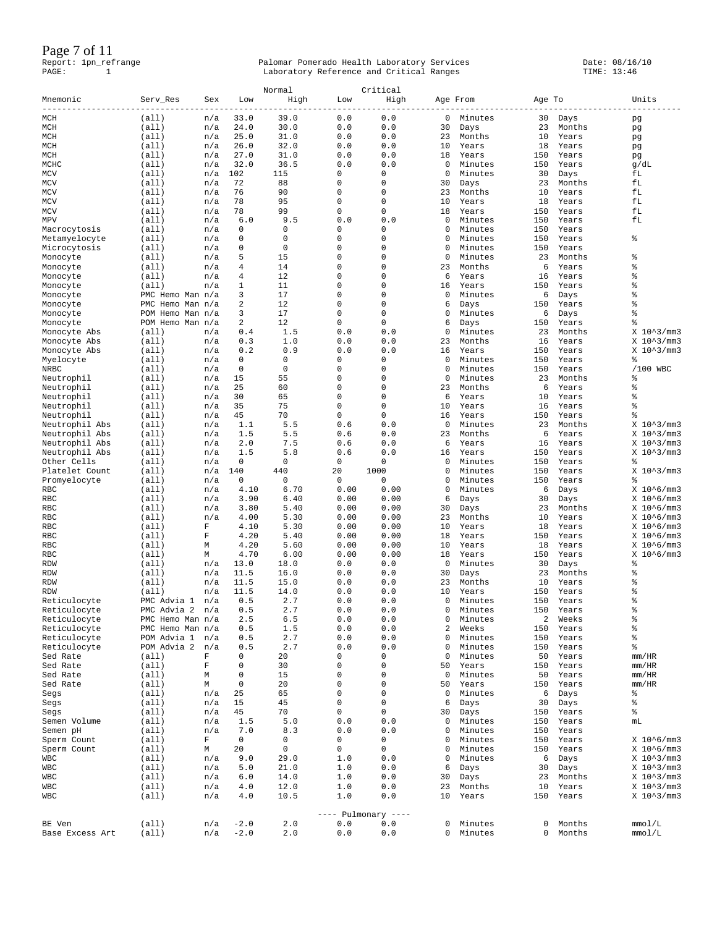Page 7 of 11

| Mnemonic             | Serv Res                  | Sex    | Low          | Normal<br>High | Low                                          | Critical<br>High |          | Age From       | Age To         |                | Units                                             |
|----------------------|---------------------------|--------|--------------|----------------|----------------------------------------------|------------------|----------|----------------|----------------|----------------|---------------------------------------------------|
| $- - - -$<br>MCH     | (a11)                     | n/a    | 33.0         | 39.0           | 0.0                                          | 0.0              | 0        | Minutes        | 30             | Days           | pg                                                |
| MCH                  | (a11)                     | n/a    | 24.0         | 30.0           | 0.0                                          | 0.0              | 30       | Days           | 23             | Months         | pg                                                |
| MCH                  | (a11)                     | n/a    | 25.0         | 31.0           | 0.0                                          | 0.0              | 23       | Months         | 10             | Years          | pg                                                |
| MCH                  | (a11)                     | n/a    | 26.0         | 32.0           | 0.0                                          | 0.0              | 10       | Years          | 18             | Years          | pg                                                |
| MCH                  | (a11)                     | n/a    | 27.0         | 31.0           | 0.0                                          | 0.0              | 18       | Years          | 150            | Years          | pg                                                |
| MCHC                 | (all)                     | n/a    | 32.0         | 36.5           | 0.0                                          | 0.0              | 0        | Minutes        | 150            | Years          | g/dL                                              |
| MCV                  | (a11)                     | n/a    | 102          | 115            | 0                                            | 0                | 0        | Minutes        | 30             | Days           | fL                                                |
| MCV                  | (a11)                     | n/a    | 72           | 88             | 0                                            | 0                | 30       | Days           | 23             | Months         | fL                                                |
| MCV                  | (all)                     | n/a    | 76           | 90             | 0                                            | 0                | 23       | Months         | 10             | Years          | fL                                                |
| MCV                  | (a11)                     | n/a    | 78           | 95             | 0                                            | 0                | 10       | Years          | 18             | Years          | fL                                                |
| MCV                  | (a11)                     | n/a    | 78           | 99             | 0                                            | 0                | 18       | Years          | 150            | Years          | fΓ                                                |
| MPV                  | (a11)                     | n/a    | 6.0          | 9.5            | 0.0                                          | 0.0              | 0        | Minutes        | 150            | Years          | fΓ                                                |
| Macrocytosis         | (a11)                     | n/a    | 0            | 0              | 0                                            | 0                | 0        | Minutes        | 150            | Years          |                                                   |
| Metamyelocyte        | (a11)                     | n/a    | 0            | 0              | 0                                            | $\Omega$         | 0        | Minutes        | 150            | Years          | နွ                                                |
| Microcytosis         | (a11)                     | n/a    | 0            | 0              | 0                                            | 0                | 0        | Minutes        | 150            | Years          |                                                   |
| Monocyte             | (a11)                     | n/a    | 5            | 15             | 0                                            | 0                | 0        | Minutes        | 23             | Months         | 含                                                 |
| Monocyte             | (a11)                     | n/a    | 4            | 14             | 0<br>0                                       | 0<br>$\Omega$    | 23       | Months         | 6              | Years          | 含<br>含                                            |
| Monocyte             | (all)                     | n/a    | 4<br>1       | 12<br>11       | 0                                            | 0                | 6<br>16  | Years<br>Years | 16<br>150      | Years          | 昙                                                 |
| Monocyte             | (a11)<br>PMC Hemo Man n/a | n/a    | 3            | 17             | 0                                            | 0                | 0        | Minutes        | 6              | Years          | 含                                                 |
| Monocyte             | PMC Hemo Man n/a          |        | 2            | 12             | 0                                            | $\Omega$         | 6        | Days           | 150            | Days<br>Years  | 昙                                                 |
| Monocyte<br>Monocyte | POM Hemo Man n/a          |        | 3            | 17             | 0                                            | 0                | 0        | Minutes        | 6              | Days           | 昙                                                 |
| Monocyte             | POM Hemo Man n/a          |        | 2            | 12             | 0                                            | 0                | 6        | Days           | 150            | Years          | 昙                                                 |
| Monocyte Abs         | (a11)                     | n/a    | 0.4          | 1.5            | 0.0                                          | 0.0              | 0        | Minutes        | 23             | Months         | $X$ 10 $^{\circ}3/mm3$                            |
| Monocyte Abs         | (a11)                     | n/a    | 0.3          | 1.0            | 0.0                                          | 0.0              | 23       | Months         | 16             | Years          | X 10^3/mm3                                        |
| Monocyte Abs         | (a11)                     | n/a    | 0.2          | 0.9            | 0.0                                          | 0.0              | 16       | Years          | 150            | Years          | $X$ 10 $^{\circ}3/mm3$                            |
| Myelocyte            | (a11)                     | n/a    | $\mathbf 0$  | 0              | 0                                            | 0                | 0        | Minutes        | 150            | Years          | ್ಠಿ                                               |
| NRBC                 | (all)                     | n/a    | 0            | 0              | 0                                            | 0                | 0        | Minutes        | 150            | Years          | /100 WBC                                          |
| Neutrophil           | (all)                     | n/a    | 15           | 55             | 0                                            | $\Omega$         | 0        | Minutes        | 23             | Months         | 昙                                                 |
| Neutrophil           | (a11)                     | n/a    | 25           | 60             | 0                                            | 0                | 23       | Months         | 6              | Years          | 含                                                 |
| Neutrophil           | (a11)                     | n/a    | 30           | 65             | 0                                            | 0                | 6        | Years          | 10             | Years          | 含                                                 |
| Neutrophil           | (a11)                     | n/a    | 35           | 75             | 0                                            | 0                | 10       | Years          | 16             | Years          | š                                                 |
| Neutrophil           | (a11)                     | n/a    | 45           | 70             | 0                                            | 0                | 16       | Years          | 150            | Years          | 昙                                                 |
| Neutrophil Abs       | (a11)                     | n/a    | 1.1          | 5.5            | 0.6                                          | 0.0              | 0        | Minutes        | 23             | Months         | $X$ 10 $^{\circ}3/mm3$                            |
| Neutrophil Abs       | (a11)                     | n/a    | 1.5          | 5.5            | 0.6                                          | 0.0              | 23       | Months         | 6              | Years          | $X$ 10 $^{\circ}3/mm3$                            |
| Neutrophil Abs       | (a11)                     | n/a    | 2.0          | 7.5            | 0.6                                          | 0.0              | 6        | Years          | 16             | Years          | $X$ 10 $^{\circ}3/mm3$                            |
| Neutrophil Abs       | (a11)                     | n/a    | 1.5          | 5.8            | 0.6                                          | 0.0              | 16       | Years          | 150            | Years          | $X$ 10 $^{\circ}3/mm3$                            |
| Other Cells          | (a11)                     | n/a    | 0            | 0              | 0                                            | 0                | 0        | Minutes        | 150            | Years          | ್ಠಿ                                               |
| Platelet Count       | (a11)                     | n/a    | 140          | 440            | 20                                           | 1000             | 0        | Minutes        | 150            | Years          | $X$ 10 $^{\wedge}3/mm3$                           |
| Promyelocyte         | (all)                     | n/a    | 0            | 0              | 0                                            | 0                | 0        | Minutes        | 150            | Years          | နွ                                                |
| RBC                  | (a11)                     | n/a    | 4.10         | 6.70           | 0.00                                         | 0.00             | 0        | Minutes        | 6              | Days           | $X$ 10 $^{\circ}6/mm3$                            |
| RBC                  | (a11)                     | n/a    | 3.90         | 6.40           | 0.00                                         | 0.00             | 6        | Days           | 30             | Days           | $X$ 10 $^{\circ}$ 6/mm3                           |
| RBC                  | (a11)                     | n/a    | 3.80         | 5.40           | 0.00                                         | 0.00             | 30       | Days           | 23             | Months         | $X$ 10 $^{\circ}6/mm3$                            |
| RBC                  | (a11)                     | n/a    | 4.00         | 5.30           | 0.00                                         | 0.00             | 23       | Months         | 10             | Years          | $X$ 10 $^{\circ}6/mm3$                            |
| <b>RBC</b>           | (a11)                     | F<br>F | 4.10<br>4.20 | 5.30<br>5.40   | 0.00<br>0.00                                 | 0.00<br>0.00     | 10<br>18 | Years<br>Years | 18<br>150      | Years<br>Years | $X$ 10 $^{\circ}6/mm3$<br>$X$ 10 $^{\circ}$ 6/mm3 |
| RBC<br>RBC           | (all)<br>(a11)            | М      | 4.20         | 5.60           | 0.00                                         | 0.00             | 10       | Years          | 18             | Years          | $X$ 10 $^{\circ}6/mm3$                            |
| <b>RBC</b>           | (a11)                     | Μ      | 4.70         | 6.00           | 0.00                                         | 0.00             | 18       | Years          | 150            | Years          | $X$ 10 $^{\circ}6/mm3$                            |
| <b>RDW</b>           | (all)                     | n/a    | 13.0         | 18.0           | 0.0                                          | 0.0              | 0        | Minutes        | 30             | Days           | နွ                                                |
| <b>RDW</b>           | (a11)                     | n/a    | 11.5         | 16.0           | 0.0                                          | 0.0              | 30       | Days           | 23             | Months         | 昙                                                 |
| <b>RDW</b>           | (a11)                     | n/a    | 11.5         | 15.0           | 0.0                                          | 0.0              | 23       | Months         | 10             | Years          | 含                                                 |
| <b>RDW</b>           | (all)                     | n/a    | 11.5         | 14.0           | 0.0                                          | 0.0              | 10       | Years          | 150            | Years          | 含                                                 |
| Reticulocyte         | PMC Advia 1               | n/a    | 0.5          | 2.7            | 0.0                                          | 0.0              | 0        | Minutes        | 150            | Years          | 昙                                                 |
| Reticulocyte         | PMC<br>Advia 2            | n/a    | 0.5          | 2.7            | 0.0                                          | 0.0              | 0        | Minutes        | 150            | Years          | နွ                                                |
| Reticulocyte         | PMC Hemo Man n/a          |        | 2.5          | 6.5            | 0.0                                          | 0.0              | 0        | Minutes        | 2              | Weeks          | $\,{}^{\circ}\!\!\delta$                          |
| Reticulocyte         | PMC Hemo Man n/a          |        | 0.5          | 1.5            | $0.0$                                        | 0.0              | 2        | Weeks          | 150            | Years          | $\rm ^{o}$                                        |
| Reticulocyte         | POM Advia 1               | n/a    | 0.5          | 2.7            | 0.0                                          | 0.0              | 0        | Minutes        | 150            | Years          | $\rm ^{o}$                                        |
| Reticulocyte         | POM Advia 2               | n/a    | 0.5          | 2.7            | 0.0                                          | 0.0              | 0        | Minutes        | 150            | Years          | ۹ò                                                |
| Sed Rate             | (a11)                     | F      | 0            | 20             | 0                                            | 0                | 0        | Minutes        | 50             | Years          | mm/HR                                             |
| Sed Rate             | (all)                     | F      | 0            | 30             | $\mathsf{O}\xspace$                          | 0                | 50       | Years          | 150            | Years          | mm/HR                                             |
| Sed Rate             | (all)                     | М      | $\mathbf 0$  | 15             | $\mathsf{O}\xspace$                          | 0                | 0        | Minutes        | 50             | Years          | mm/HR                                             |
| Sed Rate             | (all)                     | М      | $\mathsf 0$  | 20             | $\mathsf{O}\xspace$                          | 0                | 50       | Years          | 150            | Years          | mm/HR                                             |
| Segs                 | (all)                     | n/a    | 25           | 65             | $\mathsf{O}\xspace$                          | 0                | 0        | Minutes        | 6              | Days           | %                                                 |
| Segs                 | (all)                     | n/a    | 15           | 45             | $\mathsf 0$                                  | 0                | 6        | Days           | 30             | Days           | %                                                 |
| Segs                 | (a11)                     | n/a    | 45           | 70             | 0                                            | 0                | 30       | Days           | 150            | Years          | ್ಠಿ                                               |
| Semen Volume         | (a11)                     | n/a    | 1.5          | 5.0            | 0.0                                          | 0.0              | 0        | Minutes        | 150            | Years          | mL                                                |
| Semen pH             | (all)                     | n/a    | 7.0          | 8.3            | 0.0                                          | 0.0              | 0        | Minutes        | 150            | Years          |                                                   |
| Sperm Count          | (all)                     | F      | 0            | 0              | 0                                            | 0                | 0        | Minutes        | 150            | Years          | $X$ 10 $^{\circ}6/mm3$                            |
| Sperm Count          | (all)                     | M      | 20           | 0              | 0                                            | 0                | 0        | Minutes        | 150            | Years          | $X$ 10 $^{\circ}6/mm3$                            |
| <b>WBC</b>           | (all)                     | n/a    | 9.0          | 29.0           | $1\,.$ $0\,$                                 | 0.0              | 0        | Minutes        | 6              | Days           | $X$ 10 $^{\circ}3/mm3$                            |
| <b>WBC</b>           | (all)                     | n/a    | 5.0          | 21.0           | 1.0                                          | 0.0              | 6        | Days           | 30             | Days           | $X$ 10 $^{\circ}3/mm3$                            |
| <b>WBC</b>           | (all)                     | n/a    | 6.0          | 14.0           | 1.0                                          | 0.0              | 30       | Days           | 23             | Months         | $X$ 10 $^{\sim}$ 3/mm3                            |
| <b>WBC</b>           | (a11)                     | n/a    | 4.0          | 12.0           | 1.0                                          | 0.0              | 23       | Months         | 10             | Years          | $X$ 10 $^{\circ}3/mm3$                            |
| WBC                  | (all)                     | n/a    | 4.0          | 10.5           | 1.0                                          | 0.0              | 10       | Years          | 150            | Years          | $X$ 10 $^{\sim}$ 3/mm3                            |
|                      |                           |        |              |                |                                              |                  |          |                |                |                |                                                   |
|                      |                           |        |              |                | ---- Pulmonary ----<br>${\bf 0}$ . ${\bf 0}$ |                  |          |                | 0              |                |                                                   |
| BE Ven               | (a11)                     | n/a    | $-2.0$       | $2.0$          |                                              | 0.0              | 0        | Minutes        | $\overline{0}$ | Months         | mmol/L                                            |
| Base Excess Art      | (a11)                     | n/a    | $-2.0$       | 2.0            | 0.0                                          | 0.0              | 0        | Minutes        |                | Months         | mmol/L                                            |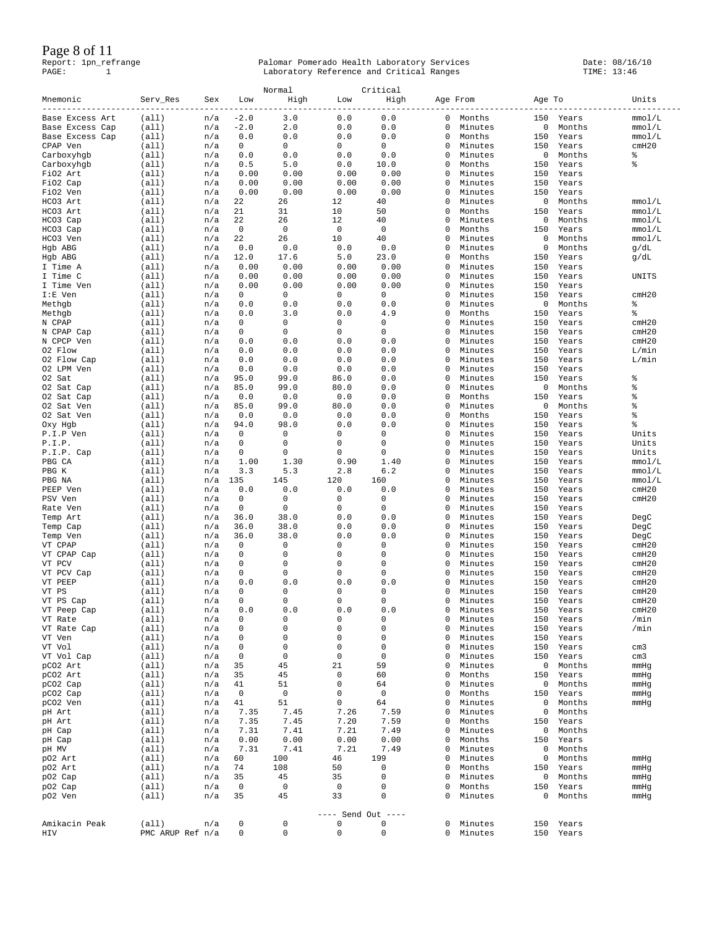### Page 8 of 11

| Mnemonic             | Serv_Res         | Sex        | Low          | Normal<br>High | Low                | Critical<br>High |              | Age From           | Age To     |                 | Units        |
|----------------------|------------------|------------|--------------|----------------|--------------------|------------------|--------------|--------------------|------------|-----------------|--------------|
| Base Excess Art      | (a11)            | n/a        | $-2.0$       | 3.0            | 0.0                | 0.0              | $\mathbf{0}$ | Months             |            | 150 Years       | mmol/L       |
| Base Excess Cap      | (a11)            | n/a        | $-2.0$       | 2.0            | 0.0                | 0.0              | 0            | Minutes            | 0          | Months          | mmol/L       |
| Base Excess Cap      | (all)            | n/a        | 0.0          | 0.0            | 0.0                | 0.0              | 0            | Months             | 150        | Years           | mmol/L       |
| CPAP Ven             | (a11)            | n/a        | $\mathbf{0}$ | $\mathbf{0}$   | $^{\circ}$         | $\mathbf{0}$     | 0            | Minutes            | 150        | Years           | cmH20        |
| Carboxyhgb           | (all)            | n/a        | 0.0          | 0.0            | 0.0                | 0.0              | 0            | Minutes            | 0          | Months          | နွ           |
| Carboxyhgb           | (a11)            | n/a        | 0.5          | 5.0            | 0.0                | 10.0             | 0            | Months             | 150        | Years           | 昙            |
| FiO2 Art             | (a11)            | n/a        | 0.00         | 0.00           | 0.00               | 0.00             | 0            | Minutes            | 150        | Years           |              |
| FiO2 Cap             | (all)            | n/a        | 0.00         | 0.00           | 0.00               | 0.00             | 0            | Minutes            | 150        | Years           |              |
| FiO2 Ven             | (a11)            | n/a        | 0.00         | 0.00           | 0.00               | 0.00             | 0            | Minutes            | 150        | Years           |              |
| HCO3 Art             | (a11)            | n/a        | 22           | 26             | 12                 | 40               | 0            | Minutes            | 0          | Months          | mmol/L       |
| HCO3 Art             | (all)            | n/a        | 21           | 31             | 10                 | 50               | 0            | Months             | 150        | Years           | mmol/L       |
| HCO3 Cap             | (all)            | n/a        | 22           | 26             | 12                 | 40               | 0            | Minutes            | 0          | Months          | mmol/L       |
| HCO3 Cap             | (all)            | n/a        | 0            | 0              | $\mathbf 0$        | $\circ$          | 0            | Months             | 150        | Years           | mmol/L       |
| HCO3 Ven             | (all)            | n/a        | 22           | 26             | 10<br>$0.0$        | 40               | 0<br>0       | Minutes<br>Minutes | 0          | Months          | mmol/L       |
| Hgb ABG<br>Hgb ABG   | (a11)<br>(a11)   | n/a<br>n/a | 0.0<br>12.0  | 0.0<br>17.6    | 5.0                | 0.0<br>23.0      | 0            | Months             | 0<br>150   | Months<br>Years | g/dL<br>g/dL |
| I Time A             | (all)            | n/a        | 0.00         | 0.00           | 0.00               | 0.00             | 0            | Minutes            | 150        | Years           |              |
| I Time C             | (a11)            | n/a        | 0.00         | 0.00           | 0.00               | 0.00             | 0            | Minutes            | 150        | Years           | UNITS        |
| I Time Ven           | (a11)            | n/a        | 0.00         | 0.00           | 0.00               | 0.00             | 0            | Minutes            | 150        | Years           |              |
| $I:E$ Ven            | (all)            | n/a        | 0            | 0              | 0                  | 0                | 0            | Minutes            | 150        | Years           | cmH20        |
| Methgb               | (all)            | n/a        | 0.0          | 0.0            | 0.0                | 0.0              | 0            | Minutes            | 0          | Months          | နွ           |
| Methqb               | (all)            | n/a        | 0.0          | 3.0            | 0.0                | 4.9              | 0            | Months             | 150        | Years           | ႜ            |
| N CPAP               | (all)            | n/a        | 0            | 0              | 0                  | $\mathbf 0$      | 0            | Minutes            | 150        | Years           | cmH20        |
| N CPAP Cap           | (all)            | n/a        | 0            | $\mathbf{0}$   | $\mathbf{0}$       | $\mathbf{0}$     | 0            | Minutes            | 150        | Years           | cmH20        |
| N CPCP Ven           | (all)            | n/a        | 0.0          | 0.0            | 0.0                | 0.0              | 0            | Minutes            | 150        | Years           | cmH20        |
| 02 Flow              | (all)            | n/a        | 0.0          | 0.0            | $0.0$              | 0.0              | 0            | Minutes            | 150        | Years           | L/min        |
| 02 Flow Cap          | (all)            | n/a        | 0.0          | 0.0            | 0.0                | 0.0              | 0            | Minutes            | 150        | Years           | L/min        |
| 02 LPM Ven           | (all)            | n/a        | 0.0          | 0.0            | 0.0                | 0.0              | 0            | Minutes            | 150        | Years           |              |
| 02 Sat               | (all)            | n/a        | 95.0         | 99.0           | 86.0               | 0.0              | 0            | Minutes            | 150        | Years           | န္           |
| 02 Sat Cap           | (a11)            | n/a        | 85.0         | 99.0           | 80.0               | 0.0              | 0            | Minutes            | 0          | Months          | ႜ            |
| 02 Sat Cap           | (a11)            | n/a        | 0.0          | 0.0            | 0.0                | 0.0              | 0            | Months             | 150        | Years           | 昙            |
| 02 Sat Ven           | (a11)            | n/a        | 85.0         | 99.0           | 80.0               | 0.0              | 0            | Minutes            | 0          | Months          | 含            |
| 02 Sat Ven           | (a11)            | n/a        | 0.0          | 0.0            | 0.0                | 0.0              | 0            | Months             | 150        | Years           | 含            |
| Oxy Hgb              | (a11)            | n/a        | 94.0         | 98.0           | 0.0                | 0.0              | 0            | Minutes            | 150        | Years           | ್ಠಿ          |
| P.I.P Ven            | (all)            | n/a        | 0            | $\mathbf{0}$   | 0                  | $\mathbf{0}$     | 0            | Minutes            | 150        | Years           | Units        |
| P.I.P.               | (a11)            | n/a        | 0            | 0              | 0                  | 0                | 0            | Minutes            | 150        | Years           | Units        |
| P.I.P. Cap           | (a11)            | n/a        | 0            | 0              | 0                  | 0                | 0            | Minutes            | 150        | Years           | Units        |
| PBG CA               | (a11)            | n/a        | 1.00         | 1.30           | 0.90               | 1.40             | 0            | Minutes            | 150        | Years           | mmol/L       |
| PBG K                | (a11)            | n/a        | 3.3          | 5.3            | 2.8                | 6.2              | 0            | Minutes            | 150        | Years           | mmol/L       |
| PBG NA               | (a11)            | n/a        | 135          | 145            | 120                | 160              | 0            | Minutes            | 150        | Years           | mmol/L       |
| PEEP Ven             | (all)            | n/a        | 0.0          | 0.0            | 0.0                | 0.0              | 0            | Minutes            | 150        | Years           | cmH20        |
| PSV Ven              | (a11)            | n/a        | 0<br>0       | 0<br>0         | 0<br>0             | 0<br>0           | 0<br>0       | Minutes            | 150        | Years           | cmH20        |
| Rate Ven             | (all)            | n/a<br>n/a | 36.0         | 38.0           | 0.0                | 0.0              | 0            | Minutes<br>Minutes | 150<br>150 | Years<br>Years  | DegC         |
| Temp Art<br>Temp Cap | (all)<br>(all)   | n/a        | 36.0         | 38.0           | 0.0                | 0.0              | 0            | Minutes            | 150        | Years           | DegC         |
| Temp Ven             | (a11)            | n/a        | 36.0         | 38.0           | 0.0                | 0.0              | 0            | Minutes            | 150        | Years           | DegC         |
| VT CPAP              | (a11)            | n/a        | 0            | 0              | 0                  | 0                | 0            | Minutes            | 150        | Years           | cmH20        |
| VT CPAP Cap          | (all)            | n/a        | 0            | 0              | 0                  | 0                | 0            | Minutes            | 150        | Years           | cmH20        |
| VT PCV               | (all)            | n/a        | 0            | $\mathbf{0}$   | 0                  | 0                | 0            | Minutes            | 150        | Years           | cmH20        |
| VT PCV Cap           | (all)            | n/a        | 0            | 0              | 0                  | 0                | 0            | Minutes            | 150        | Years           | cmH20        |
| VT PEEP              | (all)            | n/a        | 0.0          | 0.0            | 0.0                | 0.0              | 0            | Minutes            | 150        | Years           | cmH20        |
| VT PS                | (a11)            | n/a        | 0            | 0              | 0                  | $\mathbf{0}$     | 0            | Minutes            | 150        | Years           | cmH20        |
| VT PS Cap            | (all)            | n/a        | $\Omega$     | $\Omega$       | $\Omega$           | $\Omega$         | 0            | Minutes            | 150        | Years           | cmH20        |
| VT Peep Cap          | (all)            | n/a        | 0.0          | 0.0            | 0.0                | 0.0              | 0            | Minutes            | 150        | Years           | cmH20        |
| VT Rate              | (all)            | n/a        | 0            | 0              | 0                  | 0                | 0            | Minutes            | 150        | Years           | /min         |
| VT Rate Cap          | (all)            | n/a        | 0            | 0              | 0                  | 0                | 0            | Minutes            | 150        | Years           | /min         |
| VT Ven               | (all)            | n/a        | 0            | 0              | 0                  | 0                | 0            | Minutes            | 150        | Years           |              |
| VT Vol               | (all)            | n/a        | 0            | $\mathsf 0$    | 0                  | 0                | 0            | Minutes            | 150        | Years           | cm3          |
| VT Vol Cap           | (all)            | n/a        | 0            | 0              | 0                  | 0                | 0            | Minutes            | 150        | Years           | cm3          |
| pCO2 Art             | (all)            | n/a        | 35           | 45             | 21                 | 59               | 0            | Minutes            | 0          | Months          | mmHg         |
| pCO2 Art             | (all)            | n/a        | 35           | 45             | 0                  | 60               | 0            | Months             | 150        | Years           | mmHg         |
| pCO2 Cap             | (all)            | n/a        | 41           | 51             | 0                  | 64               | 0            | Minutes            | 0          | Months          | mmHg         |
| pCO2 Cap             | (all)            | n/a        | 0            | 0              | 0                  | 0                | 0            | Months             | 150        | Years           | mmHg         |
| pCO2 Ven             | (all)            | n/a        | 41           | 51             | 0                  | 64               | 0            | Minutes            | 0          | Months          | mmHg         |
| pH Art               | (all)            | n/a        | 7.35         | 7.45           | 7.26               | 7.59             | 0            | Minutes            | 0          | Months          |              |
| pH Art               | (all)            | n/a        | 7.35         | 7.45           | 7.20               | 7.59             | 0            | Months             | 150        | Years           |              |
| pH Cap               | (all)            | n/a        | 7.31         | 7.41           | 7.21               | 7.49             | 0            | Minutes            | 0          | Months          |              |
| pH Cap               | (all)            | n/a        | 0.00         | 0.00           | 0.00               | 0.00             | 0            | Months             | 150        | Years           |              |
| pH MV                | (all)            | n/a        | 7.31         | 7.41           | 7.21               | 7.49             | 0            | Minutes            | 0          | Months          |              |
| p02 Art              | (all)            | n/a        | 60           | 100            | 46                 | 199              | 0            | Minutes            | 0          | Months          | mmHg         |
| p02 Art              | (all)            | n/a        | 74           | 108            | 50                 | 0                | 0            | Months             | 150        | Years           | mmHg         |
| pO2 Cap              | (alll)           | n/a        | 35           | 45             | 35                 | 0                | 0            | Minutes            | 0          | Months          | mmHg         |
| pO2 Cap<br>p02 Ven   | (all)            | n/a        | 0<br>35      | 0<br>45        | 0<br>33            | 0<br>0           | 0<br>0       | Months             | 150<br>0   | Years<br>Months | mmHg         |
|                      | (alll)           | n/a        |              |                |                    |                  |              | Minutes            |            |                 | mmHg         |
|                      |                  |            |              |                | ---- Send Out ---- |                  |              |                    |            |                 |              |
| Amikacin Peak        | (all)            | n/a        | 0            | 0              | 0                  | $\mathbf 0$      | 0            | Minutes            | 150        | Years           |              |
| HIV                  | PMC ARUP Ref n/a |            | 0            | 0              | 0                  | $\mathsf 0$      | 0            | Minutes            |            | 150 Years       |              |
|                      |                  |            |              |                |                    |                  |              |                    |            |                 |              |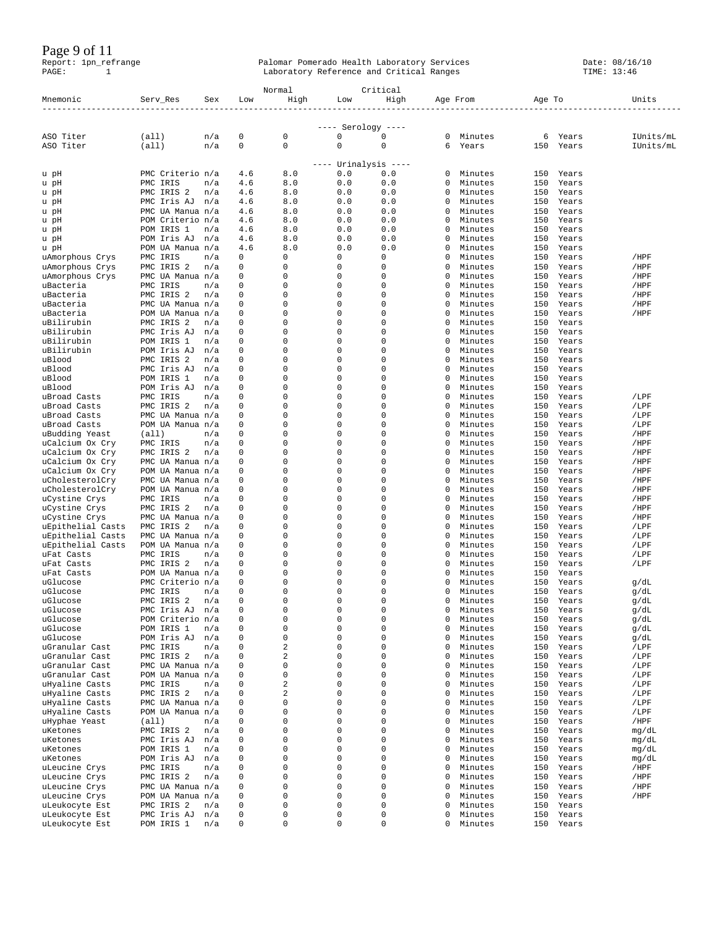Page 9 of 11

|                                           |                                      |            |               | Normal        |                            | Critical     |               |                    |            |                |                |
|-------------------------------------------|--------------------------------------|------------|---------------|---------------|----------------------------|--------------|---------------|--------------------|------------|----------------|----------------|
| Mnemonic<br>----------------------------- | Serv_Res                             | Sex        | Low           | High          | Low                        | High         |               | Age From           | Age To     |                | Units          |
|                                           |                                      |            |               |               | $---$ Serology $---$       |              |               |                    |            |                |                |
| ASO Titer                                 | (all)                                | n/a        | 0             | 0             | 0                          | $\mathbf 0$  | 0             | Minutes            | 6          | Years          | IUnits/mL      |
| ASO Titer                                 | (all)                                | n/a        | 0             | $\mathbf 0$   | $\mathsf 0$                | $\mathbf 0$  | 6             | Years              | 150        | Years          | IUnits/mL      |
|                                           |                                      |            |               |               | ---- Urinalysis ----       |              |               |                    |            |                |                |
| u pH                                      | PMC Criterio n/a                     |            | 4.6           | 8.0           | $0.0$                      | 0.0          | 0             | Minutes            | 150        | Years          |                |
| u pH                                      | PMC IRIS<br>PMC IRIS 2               | n/a<br>n/a | 4.6<br>4.6    | 8.0<br>8.0    | $0.0$<br>0.0               | 0.0<br>0.0   | 0<br>0        | Minutes<br>Minutes | 150<br>150 | Years<br>Years |                |
| u pH<br>u pH                              | PMC Iris AJ                          | n/a        | 4.6           | 8.0           | 0.0                        | 0.0          | 0             | Minutes            | 150        | Years          |                |
| u pH                                      | PMC UA Manua n/a                     |            | 4.6           | 8.0           | 0.0                        | 0.0          | $\Omega$      | Minutes            | 150        | Years          |                |
| u pH                                      | POM Criterio n/a                     |            | 4.6           | 8.0           | 0.0                        | 0.0          | 0             | Minutes            | 150        | Years          |                |
| u pH                                      | POM IRIS 1                           | n/a        | 4.6           | 8.0<br>8.0    | 0.0                        | 0.0          | 0<br>$\Omega$ | Minutes<br>Minutes | 150        | Years          |                |
| u pH<br>u pH                              | POM Iris AJ<br>POM UA Manua n/a      | n/a        | 4.6<br>4.6    | 8.0           | 0.0<br>0.0                 | 0.0<br>0.0   | 0             | Minutes            | 150<br>150 | Years<br>Years |                |
| uAmorphous Crys                           | PMC IRIS                             | n/a        | 0             | 0             | 0                          | 0            | 0             | Minutes            | 150        | Years          | /HPF           |
| uAmorphous Crys                           | PMC IRIS 2                           | n/a        | 0             | 0             | 0                          | 0            | 0             | Minutes            | 150        | Years          | /HPF           |
| uAmorphous Crys<br>uBacteria              | PMC UA Manua n/a<br>PMC IRIS         |            | 0<br>0        | 0<br>0        | 0<br>$\mathbf 0$           | 0<br>0       | 0<br>0        | Minutes<br>Minutes | 150<br>150 | Years<br>Years | /HPF<br>/HPF   |
| uBacteria                                 | PMC IRIS 2                           | n/a<br>n/a | 0             | 0             | 0                          | 0            | 0             | Minutes            | 150        | Years          | /HPF           |
| uBacteria                                 | PMC UA Manua n/a                     |            | 0             | 0             | 0                          | 0            | 0             | Minutes            | 150        | Years          | /HPF           |
| uBacteria                                 | POM UA Manua n/a                     |            | 0             | 0             | $\mathbf 0$                | 0            | 0             | Minutes            | 150        | Years          | /HPF           |
| uBilirubin                                | PMC IRIS 2                           | n/a        | 0<br>0        | 0<br>0        | 0<br>0                     | 0<br>0       | 0<br>0        | Minutes<br>Minutes | 150<br>150 | Years          |                |
| uBilirubin<br>uBilirubin                  | PMC Iris AJ<br>POM IRIS 1            | n/a<br>n/a | 0             | 0             | 0                          | $\mathbf{0}$ | 0             | Minutes            | 150        | Years<br>Years |                |
| uBilirubin                                | POM Iris AJ                          | n/a        | 0             | 0             | 0                          | 0            | 0             | Minutes            | 150        | Years          |                |
| uBlood                                    | PMC IRIS 2                           | n/a        | 0             | 0             | 0                          | 0            | 0             | Minutes            | 150        | Years          |                |
| uBlood                                    | PMC Iris AJ                          | n/a        | 0             | 0             | 0                          | 0            | 0             | Minutes            | 150        | Years          |                |
| uBlood<br>uBlood                          | POM IRIS 1<br>POM Iris AJ            | n/a<br>n/a | 0<br>0        | 0<br>0        | 0<br>0                     | 0<br>0       | 0<br>0        | Minutes<br>Minutes | 150<br>150 | Years<br>Years |                |
| uBroad Casts                              | PMC IRIS                             | n/a        | 0             | 0             | 0                          | 0            | 0             | Minutes            | 150        | Years          | /LPF           |
| uBroad Casts                              | PMC IRIS 2                           | n/a        | $\Omega$      | 0             | 0                          | 0            | 0             | Minutes            | 150        | Years          | /LPF           |
| uBroad Casts                              | PMC UA Manua n/a                     |            | 0             | $\Omega$      | $\mathbf 0$                | 0            | 0             | Minutes            | 150        | Years          | /LPF           |
| uBroad Casts<br>uBudding Yeast            | POM UA Manua n/a<br>(a11)            | n/a        | 0<br>0        | 0<br>0        | 0<br>0                     | 0<br>0       | 0<br>0        | Minutes<br>Minutes | 150<br>150 | Years<br>Years | /LPF<br>/HPF   |
| uCalcium Ox Cry                           | PMC IRIS                             | n/a        | 0             | 0             | $\mathbf 0$                | 0            | $\Omega$      | Minutes            | 150        | Years          | /HPF           |
| uCalcium Ox Cry                           | PMC IRIS 2                           | n/a        | 0             | 0             | 0                          | 0            | 0             | Minutes            | 150        | Years          | /HPF           |
| uCalcium Ox Cry                           | PMC UA Manua n/a                     |            | $\Omega$      | $\Omega$      | 0                          | 0            | 0             | Minutes            | 150        | Years          | /HPF           |
| uCalcium Ox Cry<br>uCholesterolCry        | POM UA Manua n/a<br>PMC UA Manua n/a |            | $\Omega$<br>0 | 0<br>0        | 0<br>$\mathbf 0$           | 0<br>0       | 0<br>0        | Minutes<br>Minutes | 150<br>150 | Years<br>Years | /HPF<br>/HPF   |
| uCholesterolCry                           | POM UA Manua n/a                     |            | 0             | 0             | 0                          | 0            | 0             | Minutes            | 150        | Years          | /HPF           |
| uCystine Crys                             | PMC IRIS                             | n/a        | 0             | 0             | 0                          | 0            | 0             | Minutes            | 150        | Years          | /HPF           |
| uCystine Crys                             | PMC IRIS 2                           | n/a        | 0             | 0             | $\mathbf 0$                | 0            | 0             | Minutes            | 150        | Years          | /HPF           |
| uCystine Crys<br>uEpithelial Casts        | PMC UA Manua n/a<br>PMC IRIS 2       | n/a        | 0<br>0        | $\Omega$<br>0 | 0<br>0                     | 0<br>0       | 0<br>0        | Minutes<br>Minutes | 150<br>150 | Years<br>Years | /HPF<br>/LPF   |
| uEpithelial Casts                         | PMC UA Manua n/a                     |            | 0             | 0             | 0                          | 0            | 0             | Minutes            | 150        | Years          | /LPF           |
| uEpithelial Casts                         | POM UA Manua n/a                     |            | 0             | 0             | $\mathbf 0$                | 0            | 0             | Minutes            | 150        | Years          | /LPF           |
| uFat Casts                                | PMC IRIS                             | n/a        | 0             | 0             | 0                          | 0            | 0             | Minutes            | 150        | Years          | /LPF           |
| uFat Casts<br>uFat Casts                  | PMC IRIS 2<br>POM UA Manua n/a       | n/a        | 0<br>0        | 0<br>0        | $\mathbf 0$<br>$\mathbf 0$ | 0<br>0       | 0<br>0        | Minutes<br>Minutes | 150<br>150 | Years<br>Years | /LPF           |
| uGlucose                                  | PMC Criterio n/a                     |            | 0             | 0             | 0                          | 0            | 0             | Minutes            | 150        | Years          | g/dL           |
| uGlucose                                  | PMC IRIS                             | n/a        | 0             | $\Omega$      | 0                          | 0            | 0             | Minutes            | 150        | Years          | g/dL           |
| uGlucose                                  | PMC IRIS 2                           | n/a        | 0             | 0             | 0                          | 0            | 0             | Minutes            | 150        | Years          | g/dL           |
| uGlucose<br>uGlucose                      | PMC Iris AJ<br>POM Criterio n/a      | n/a        | 0<br>0        | 0<br>0        | 0<br>$\mathsf 0$           | 0<br>0       | 0<br>0        | Minutes<br>Minutes | 150<br>150 | Years<br>Years | g/dL<br>g/dL   |
| uGlucose                                  | POM IRIS 1                           | n/a        | 0             | 0             | $\mathsf 0$                | 0            | 0             | Minutes            | 150        | Years          | g/dL           |
| uGlucose                                  | POM Iris AJ                          | n/a        | 0             | 0             | 0                          | 0            | 0             | Minutes            | 150        | Years          | g/dL           |
| uGranular Cast                            | PMC IRIS                             | n/a        | 0             | 2             | $\mathsf 0$                | 0            | 0             | Minutes            | 150        | Years          | /LPF           |
| uGranular Cast<br>uGranular Cast          | PMC IRIS 2<br>PMC UA Manua n/a       | n/a        | 0<br>$\Omega$ | 2<br>0        | $\mathsf 0$<br>0           | 0<br>0       | 0<br>0        | Minutes<br>Minutes | 150<br>150 | Years<br>Years | /LPF<br>/LPF   |
| uGranular Cast                            | POM UA Manua n/a                     |            | 0             | 0             | 0                          | 0            | 0             | Minutes            | 150        | Years          | /LPF           |
| uHyaline Casts                            | PMC IRIS                             | n/a        | 0             | 2             | $\overline{0}$             | 0            | 0             | Minutes            | 150        | Years          | /LPF           |
| uHyaline Casts                            | PMC IRIS 2                           | n/a        | 0             | 2             | 0                          | 0            | 0             | Minutes            | 150        | Years          | /LPF           |
| uHyaline Casts<br>uHyaline Casts          | PMC UA Manua n/a<br>POM UA Manua n/a |            | 0<br>0        | 0<br>0        | 0<br>$\overline{0}$        | 0<br>0       | 0<br>0        | Minutes<br>Minutes | 150<br>150 | Years<br>Years | /LPF<br>/LPF   |
| uHyphae Yeast                             | (all)                                | n/a        | 0             | 0             | $\mathbf{0}$               | 0            | 0             | Minutes            | 150        | Years          | /HPF           |
| uKetones                                  | PMC IRIS 2                           | n/a        | 0             | $\Omega$      | 0                          | 0            | 0             | Minutes            | 150        | Years          | mg/dL          |
| uKetones                                  | PMC Iris AJ                          | n/a        | 0             | 0             | 0                          | 0            | 0             | Minutes            | 150        | Years          | mg/dL          |
| uKetones<br>uKetones                      | POM IRIS 1<br>POM Iris AJ            | n/a<br>n/a | 0<br>0        | 0<br>$\Omega$ | $\mathsf 0$<br>$\mathsf 0$ | 0<br>0       | 0<br>$\Omega$ | Minutes<br>Minutes | 150<br>150 | Years<br>Years | mg/dL<br>mg/dL |
| uLeucine Crys                             | PMC IRIS                             | n/a        | 0             | 0             | 0                          | 0            | 0             | Minutes            | 150        | Years          | /HPF           |
| uLeucine Crys                             | PMC IRIS 2                           | n/a        | 0             | 0             | $\mathsf 0$                | 0            | 0             | Minutes            | 150        | Years          | /HPF           |
| uLeucine Crys                             | PMC UA Manua n/a                     |            | 0             | $\Omega$      | $\mathsf 0$                | 0            | 0             | Minutes            | 150        | Years          | /HPF           |
| uLeucine Crys<br>uLeukocyte Est           | POM UA Manua n/a<br>PMC IRIS 2       | n/a        | 0<br>0        | 0<br>0        | 0<br>0                     | 0<br>0       | 0<br>0        | Minutes<br>Minutes | 150<br>150 | Years<br>Years | /HPF           |
| uLeukocyte Est                            | PMC Iris AJ                          | n/a        | 0             | 0             | $\mathsf 0$                | 0            | 0             | Minutes            | 150        | Years          |                |
| uLeukocyte Est                            | POM IRIS 1                           | n/a        | 0             | 0             | $\mathsf 0$                | 0            | 0             | Minutes            | 150        | Years          |                |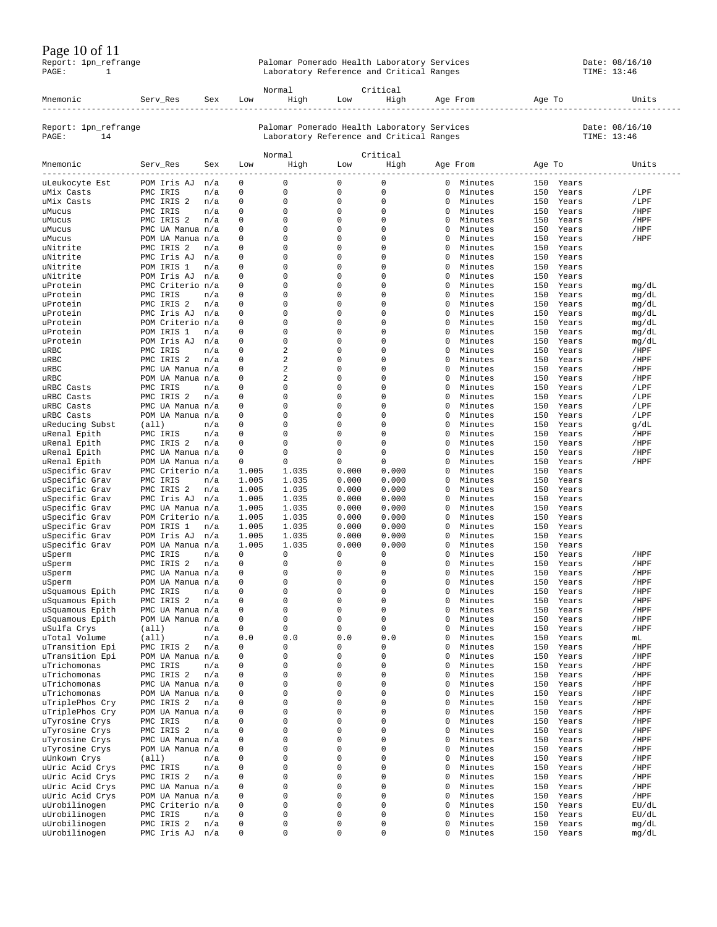#### Page 10 of 11

|       | 1 agus 10 01 11      |                                             |                |
|-------|----------------------|---------------------------------------------|----------------|
|       | Report: 1pn_refrange | Palomar Pomerado Health Laboratory Services | Date: 08/16/10 |
| PAGE: |                      | Laboratory Reference and Critical Ranges    | TIME: 13:46    |
|       |                      |                                             |                |

|                                      |                                |            |                             | Normal            |                            | Critical                                                                                |                  |                    |            |                |                               |
|--------------------------------------|--------------------------------|------------|-----------------------------|-------------------|----------------------------|-----------------------------------------------------------------------------------------|------------------|--------------------|------------|----------------|-------------------------------|
| Mnemonic                             | Serv_Res                       | Sex        | Low                         | High              | Low                        | High<br>---------------                                                                 |                  | Age From           | Age To     |                | Units                         |
| Report: 1pn_refrange<br>PAGE:<br>14  |                                |            |                             |                   |                            | Palomar Pomerado Health Laboratory Services<br>Laboratory Reference and Critical Ranges |                  |                    |            |                | Date: 08/16/10<br>TIME: 13:46 |
|                                      |                                |            |                             | Normal            |                            | Critical                                                                                |                  |                    |            |                |                               |
| Mnemonic<br>------------------------ | Serv_Res                       | Sex        | Low                         | High              | Low                        | High                                                                                    |                  | Age From           | Age To     | ------------   | Units                         |
| uLeukocyte Est                       | POM Iris AJ n/a                |            | 0                           | 0                 | 0                          | $\mathbf 0$                                                                             | $\circ$          | Minutes            | 150        | Years          |                               |
| uMix Casts                           | PMC IRIS                       | n/a        | $\mathbf 0$                 | 0                 | $\mathbf 0$                | $\mathbf 0$                                                                             | 0                | Minutes            | 150        | Years          | /LPF                          |
| uMix Casts                           | PMC IRIS 2                     | n/a        | $\mathbf 0$                 | $\mathbf 0$       | 0                          | 0                                                                                       | 0                | Minutes            | 150        | Years          | /LPF                          |
| uMucus<br>uMucus                     | PMC IRIS<br>PMC IRIS 2         | n/a<br>n/a | $\mathbf 0$<br>$\mathbf{0}$ | 0<br>$\mathbf{0}$ | $\mathbf 0$<br>$\mathbf 0$ | $\mathbf 0$<br>$\mathbf 0$                                                              | 0<br>0           | Minutes<br>Minutes | 150<br>150 | Years<br>Years | /HPF<br>/HPF                  |
| uMucus                               | PMC UA Manua n/a               |            | $\mathbf{0}$                | 0                 | 0                          | 0                                                                                       | 0                | Minutes            | 150        | Years          | /HPF                          |
| uMucus                               | POM UA Manua n/a               |            | $\mathbf 0$                 | 0                 | $\mathbf 0$                | 0                                                                                       | $\Omega$         | Minutes            | 150        | Years          | /HPF                          |
| uNitrite                             | PMC IRIS 2                     | n/a        | $\mathbf{0}$                | 0                 | $\mathbf 0$                | $\mathbf 0$                                                                             | 0                | Minutes            | 150        | Years          |                               |
| uNitrite                             | PMC Iris AJ                    | n/a        | $\mathbf 0$                 | 0                 | $\mathbf 0$                | 0                                                                                       | 0                | Minutes            | 150        | Years          |                               |
| uNitrite                             | POM IRIS 1                     | n/a        | $\mathbf 0$                 | 0                 | $\mathbf 0$                | 0                                                                                       | $\Omega$         | Minutes            | 150        | Years          |                               |
| uNitrite                             | POM Iris AJ                    | n/a        | $\mathbf{0}$                | 0                 | $\mathbf 0$                | 0                                                                                       | 0                | Minutes            | 150        | Years          |                               |
| uProtein                             | PMC Criterio n/a               | n/a        | 0<br>0                      | 0<br>0            | 0<br>$\mathbf 0$           | 0<br>0                                                                                  | 0<br>$\Omega$    | Minutes            | 150<br>150 | Years          | mg/dL                         |
| uProtein<br>uProtein                 | PMC IRIS<br>PMC IRIS 2         | n/a        | 0                           | 0                 | $\mathbf 0$                | 0                                                                                       | 0                | Minutes<br>Minutes | 150        | Years<br>Years | mg/dL<br>mg/dL                |
| uProtein                             | PMC Iris AJ                    | n/a        | 0                           | 0                 | 0                          | 0                                                                                       | 0                | Minutes            | 150        | Years          | mg/dL                         |
| uProtein                             | POM Criterio n/a               |            | $\Omega$                    | $\Omega$          | $\mathbf 0$                | 0                                                                                       | $\Omega$         | Minutes            | 150        | Years          | mg/dL                         |
| uProtein                             | POM IRIS 1                     | n/a        | 0                           | 0                 | $\mathbf 0$                | 0                                                                                       | 0                | Minutes            | 150        | Years          | mq/dL                         |
| uProtein                             | POM Iris AJ                    | n/a        | $\mathbf{0}$                | 0                 | $\mathbf 0$                | 0                                                                                       | 0                | Minutes            | 150        | Years          | mg/dL                         |
| uRBC                                 | PMC IRIS                       | n/a        | $\mathbf{0}$                | 2                 | $\mathbf{0}$               | 0                                                                                       | 0                | Minutes            | 150        | Years          | /HPF                          |
| uRBC                                 | PMC IRIS 2                     | n/a        | 0                           | 2                 | $\mathbf 0$                | 0                                                                                       | 0                | Minutes            | 150        | Years          | /HPF                          |
| uRBC                                 | PMC UA Manua n/a               |            | $\mathbf{0}$                | 2                 | $\mathbf 0$                | 0                                                                                       | 0                | Minutes            | 150        | Years          | /HPF                          |
| uRBC                                 | POM UA Manua n/a               |            | $\mathbf{0}$                | 2<br>0            | $\mathbf 0$                | 0                                                                                       | $\Omega$         | Minutes            | 150        | Years          | /HPF                          |
| uRBC Casts<br>uRBC Casts             | PMC IRIS<br>PMC IRIS 2         | n/a<br>n/a | 0<br>$\mathbf 0$            | 0                 | $\mathbf 0$<br>$\mathbf 0$ | 0<br>0                                                                                  | 0<br>0           | Minutes<br>Minutes | 150<br>150 | Years<br>Years | /LPF<br>/LPF                  |
| uRBC Casts                           | PMC UA Manua n/a               |            | $\mathbf{0}$                | 0                 | $\mathbf 0$                | 0                                                                                       | 0                | Minutes            | 150        | Years          | /LPF                          |
| uRBC Casts                           | POM UA Manua n/a               |            | 0                           | 0                 | $\mathbf 0$                | 0                                                                                       | 0                | Minutes            | 150        | Years          | /LPF                          |
| uReducing Subst                      | (all)                          | n/a        | $\mathbf 0$                 | 0                 | $\mathbf 0$                | $\mathbf 0$                                                                             | 0                | Minutes            | 150        | Years          | g/dL                          |
| uRenal Epith                         | PMC IRIS                       | n/a        | $\mathbf 0$                 | 0                 | $\mathbf 0$                | 0                                                                                       | 0                | Minutes            | 150        | Years          | /HPF                          |
| uRenal Epith                         | PMC IRIS 2                     | n/a        | 0                           | 0                 | $\mathbf 0$                | $\mathbf 0$                                                                             | 0                | Minutes            | 150        | Years          | /HPF                          |
| uRenal Epith                         | PMC UA Manua n/a               |            | 0                           | 0                 | $\mathbf 0$                | $\mathbf 0$                                                                             | $\Omega$         | Minutes            | 150        | Years          | /HPF                          |
| uRenal Epith                         | POM UA Manua n/a               |            | $\mathbf 0$                 | 0                 | 0                          | 0                                                                                       | 0                | Minutes            | 150        | Years          | /HPF                          |
| uSpecific Grav                       | PMC Criterio n/a               |            | 1.005                       | 1.035<br>1.035    | 0.000<br>0.000             | 0.000<br>0.000                                                                          | $\Omega$<br>0    | Minutes<br>Minutes | 150<br>150 | Years<br>Years |                               |
| uSpecific Grav<br>uSpecific Grav     | PMC IRIS<br>PMC IRIS 2         | n/a<br>n/a | 1.005<br>1.005              | 1.035             | 0.000                      | 0.000                                                                                   | 0                | Minutes            | 150        | Years          |                               |
| uSpecific Grav                       | PMC Iris AJ n/a                |            | 1.005                       | 1.035             | 0.000                      | 0.000                                                                                   | $\Omega$         | Minutes            | 150        | Years          |                               |
| uSpecific Grav                       | PMC UA Manua n/a               |            | 1.005                       | 1.035             | 0.000                      | 0.000                                                                                   | 0                | Minutes            | 150        | Years          |                               |
| uSpecific Grav                       | POM Criterio n/a               |            | 1.005                       | 1.035             | 0.000                      | 0.000                                                                                   | 0                | Minutes            | 150        | Years          |                               |
| uSpecific Grav                       | POM IRIS 1                     | n/a        | 1.005                       | 1.035             | 0.000                      | 0.000                                                                                   | $\Omega$         | Minutes            | 150        | Years          |                               |
| uSpecific Grav                       | POM Iris AJ                    | n/a        | 1.005                       | 1.035             | 0.000                      | 0.000                                                                                   | 0                | Minutes            | 150        | Years          |                               |
| uSpecific Grav                       | POM UA Manua n/a               |            | 1.005                       | 1.035             | 0.000                      | 0.000                                                                                   | 0                | Minutes            | 150        | Years          |                               |
| uSperm                               | PMC IRIS                       | n/a        | $\mathbf 0$                 | 0                 | $\mathbf 0$                | $\mathbf 0$                                                                             | $\Omega$         | Minutes            | 150        | Years          | /HPF                          |
| uSperm                               | PMC IRIS 2<br>PMC UA Manua n/a | n/a        | 0<br>0                      | 0<br>0            | 0<br>0                     | 0<br>0                                                                                  | 0<br>0           | Minutes<br>Minutes | 150<br>150 | Years<br>Years | /HPF                          |
| uSperm<br>uSperm                     | POM UA Manua n/a               |            | $\mathbf 0$                 | 0                 | $\mathbf 0$                | $\mathbf 0$                                                                             | $\Omega$         | Minutes            | 150        | Years          | /HPF<br>/HPF                  |
| uSquamous Epith                      | PMC IRIS                       | n/a        | 0                           | 0                 | $\mathbf 0$                | 0                                                                                       | 0                | Minutes            | 150        | Years          | /HPF                          |
| uSquamous Epith                      | PMC IRIS 2                     | n/a        | 0                           | 0                 | $\mathbf 0$                | 0                                                                                       | 0                | Minutes            | 150        | Years          | /HPF                          |
| uSquamous Epith                      | PMC UA Manua n/a               |            | $\Omega$                    | $\Omega$          | $\Omega$                   | $\Omega$                                                                                | 0                | Minutes            | 150        | Years          | /HPF                          |
| uSquamous Epith                      | POM UA Manua n/a               |            | 0                           | 0                 | 0                          | $\mathsf 0$                                                                             | 0                | Minutes            | 150        | Years          | /HPF                          |
| uSulfa Crys                          | (a11)                          | n/a        | 0                           | 0                 | 0                          | $\mathsf 0$                                                                             | 0                | Minutes            | 150        | Years          | /HPF                          |
| uTotal Volume                        | (a11)                          | n/a        | $0.0$                       | 0.0               | 0.0                        | 0.0                                                                                     | 0                | Minutes            | 150        | Years          | mL                            |
| uTransition Epi                      | PMC IRIS 2                     | n/a        | 0                           | 0                 | 0<br>$\mathsf 0$           | 0<br>$\mathsf 0$                                                                        | 0                | Minutes            | 150        | Years          | /HPF                          |
| uTransition Epi<br>uTrichomonas      | POM UA Manua n/a<br>PMC IRIS   | n/a        | 0<br>$\mathbf 0$            | 0<br>0            | $\mathsf 0$                | $\mathbf 0$                                                                             | 0<br>$\mathbf 0$ | Minutes<br>Minutes | 150<br>150 | Years<br>Years | /HPF<br>/HPF                  |
| uTrichomonas                         | PMC IRIS 2                     | n/a        | 0                           | 0                 | 0                          | 0                                                                                       | 0                | Minutes            | 150        | Years          | /HPF                          |
| uTrichomonas                         | PMC UA Manua n/a               |            | 0                           | 0                 | 0                          | 0                                                                                       | 0                | Minutes            | 150        | Years          | /HPF                          |
| uTrichomonas                         | POM UA Manua n/a               |            | $\mathbf 0$                 | 0                 | $\mathsf 0$                | $\mathbf 0$                                                                             | 0                | Minutes            | 150        | Years          | /HPF                          |
| uTriplePhos Cry                      | PMC IRIS 2                     | n/a        | $\mathbf 0$                 | 0                 | 0                          | 0                                                                                       | 0                | Minutes            | 150        | Years          | /HPF                          |
| uTriplePhos Cry                      | POM UA Manua n/a               |            | $\mathbf 0$                 | 0                 | 0                          | 0                                                                                       | 0                | Minutes            | 150        | Years          | /HPF                          |
| uTyrosine Crys                       | PMC IRIS                       | n/a        | $\mathbf 0$                 | 0                 | 0                          | 0                                                                                       | 0                | Minutes            | 150        | Years          | /HPF                          |
| uTyrosine Crys                       | PMC IRIS 2                     | n/a        | $\mathbf 0$                 | 0                 | 0                          | $\mathbf 0$                                                                             | 0                | Minutes            | 150        | Years          | /HPF                          |
| uTyrosine Crys                       | PMC UA Manua n/a               |            | 0                           | 0<br>0            | $\mathsf 0$<br>0           | $\mathbf 0$<br>0                                                                        | 0                | Minutes            | 150        | Years          | /HPF                          |
| uTyrosine Crys<br>uUnkown Crys       | POM UA Manua n/a<br>(a11)      |            | 0<br>$\mathbf 0$            | 0                 | $\mathsf 0$                | $\mathbf 0$                                                                             | 0<br>0           | Minutes<br>Minutes | 150<br>150 | Years<br>Years | /HPF                          |
| uUric Acid Crys                      | PMC IRIS                       | n/a<br>n/a | $\mathbf 0$                 | 0                 | $\mathsf 0$                | $\mathbf 0$                                                                             | 0                | Minutes            | 150        | Years          | /HPF<br>/HPF                  |
| uUric Acid Crys                      | PMC IRIS 2                     | n/a        | $\mathbf 0$                 | 0                 | 0                          | 0                                                                                       | 0                | Minutes            | 150        | Years          | /HPF                          |
| uUric Acid Crys                      | PMC UA Manua n/a               |            | $\mathbf 0$                 | 0                 | 0                          | $\mathbf 0$                                                                             | 0                | Minutes            | 150        | Years          | /HPF                          |
| uUric Acid Crys                      | POM UA Manua n/a               |            | $\mathbf 0$                 | 0                 | $\mathsf 0$                | $\mathbf 0$                                                                             | 0                | Minutes            | 150        | Years          | /HPF                          |
| uUrobilinogen                        | PMC Criterio n/a               |            | 0                           | 0                 | $\mathsf 0$                | $\mathbf 0$                                                                             | 0                | Minutes            | 150        | Years          | EU/dL                         |
| uUrobilinogen                        | PMC IRIS                       | n/a        | 0                           | 0                 | 0                          | 0                                                                                       | $\Omega$         | Minutes            | 150        | Years          | EU/dL                         |
| uUrobilinogen                        | PMC IRIS 2                     | n/a        | 0                           | 0                 | 0                          | $\mathsf 0$                                                                             | 0                | Minutes            | 150        | Years          | mg/dL                         |
| uUrobilinogen                        | PMC Iris AJ n/a                |            | 0                           | 0                 | $\mathsf 0$                | 0                                                                                       | 0                | Minutes            |            | 150 Years      | mg/dL                         |